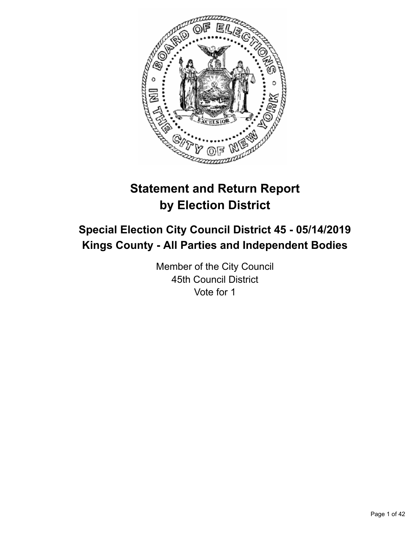

# **Statement and Return Report by Election District**

# **Special Election City Council District 45 - 05/14/2019 Kings County - All Parties and Independent Bodies**

Member of the City Council 45th Council District Vote for 1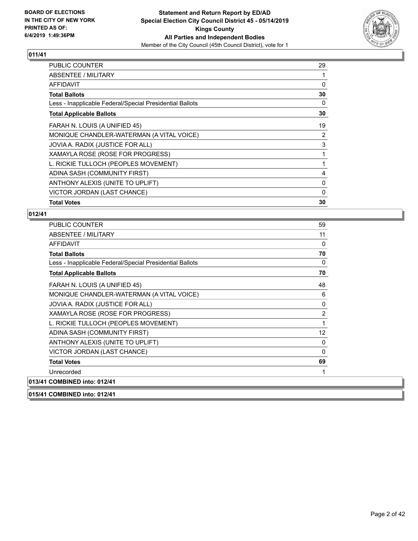

| <b>PUBLIC COUNTER</b>                                    | 29       |
|----------------------------------------------------------|----------|
| ABSENTEE / MILITARY                                      |          |
| AFFIDAVIT                                                | 0        |
| <b>Total Ballots</b>                                     | 30       |
| Less - Inapplicable Federal/Special Presidential Ballots | $\Omega$ |
| <b>Total Applicable Ballots</b>                          | 30       |
| FARAH N. LOUIS (A UNIFIED 45)                            | 19       |
| MONIQUE CHANDLER-WATERMAN (A VITAL VOICE)                | 2        |
| JOVIA A. RADIX (JUSTICE FOR ALL)                         | 3        |
| XAMAYLA ROSE (ROSE FOR PROGRESS)                         | 1        |
| L. RICKIE TULLOCH (PEOPLES MOVEMENT)                     |          |
| ADINA SASH (COMMUNITY FIRST)                             | 4        |
| ANTHONY ALEXIS (UNITE TO UPLIFT)                         | 0        |
| VICTOR JORDAN (LAST CHANCE)                              | 0        |
| <b>Total Votes</b>                                       | 30       |

| PUBLIC COUNTER                                           | 59 |
|----------------------------------------------------------|----|
| <b>ABSENTEE / MILITARY</b>                               | 11 |
| <b>AFFIDAVIT</b>                                         | 0  |
| <b>Total Ballots</b>                                     | 70 |
| Less - Inapplicable Federal/Special Presidential Ballots | 0  |
| <b>Total Applicable Ballots</b>                          | 70 |
| FARAH N. LOUIS (A UNIFIED 45)                            | 48 |
| MONIQUE CHANDLER-WATERMAN (A VITAL VOICE)                | 6  |
| JOVIA A. RADIX (JUSTICE FOR ALL)                         | 0  |
| XAMAYLA ROSE (ROSE FOR PROGRESS)                         | 2  |
| L. RICKIE TULLOCH (PEOPLES MOVEMENT)                     | 1  |
| ADINA SASH (COMMUNITY FIRST)                             | 12 |
| ANTHONY ALEXIS (UNITE TO UPLIFT)                         | 0  |
| VICTOR JORDAN (LAST CHANCE)                              | 0  |
| <b>Total Votes</b>                                       | 69 |
| Unrecorded                                               | 1  |
| 013/41 COMBINED into: 012/41                             |    |
| 015/41 COMBINED into: 012/41                             |    |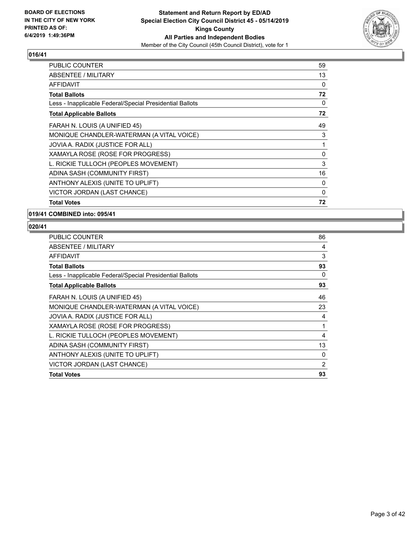

| <b>PUBLIC COUNTER</b>                                    | 59 |
|----------------------------------------------------------|----|
| ABSENTEE / MILITARY                                      | 13 |
| <b>AFFIDAVIT</b>                                         | 0  |
| <b>Total Ballots</b>                                     | 72 |
| Less - Inapplicable Federal/Special Presidential Ballots | 0  |
| <b>Total Applicable Ballots</b>                          | 72 |
| FARAH N. LOUIS (A UNIFIED 45)                            | 49 |
| MONIQUE CHANDLER-WATERMAN (A VITAL VOICE)                | 3  |
| JOVIA A. RADIX (JUSTICE FOR ALL)                         | 1  |
| XAMAYLA ROSE (ROSE FOR PROGRESS)                         | 0  |
| L. RICKIE TULLOCH (PEOPLES MOVEMENT)                     | 3  |
| ADINA SASH (COMMUNITY FIRST)                             | 16 |
| ANTHONY ALEXIS (UNITE TO UPLIFT)                         | 0  |
| VICTOR JORDAN (LAST CHANCE)                              | 0  |
| <b>Total Votes</b>                                       | 72 |

**019/41 COMBINED into: 095/41**

| PUBLIC COUNTER                                           | 86 |
|----------------------------------------------------------|----|
| ABSENTEE / MILITARY                                      | 4  |
| AFFIDAVIT                                                | 3  |
| <b>Total Ballots</b>                                     | 93 |
| Less - Inapplicable Federal/Special Presidential Ballots | 0  |
| <b>Total Applicable Ballots</b>                          | 93 |
| FARAH N. LOUIS (A UNIFIED 45)                            | 46 |
| MONIQUE CHANDLER-WATERMAN (A VITAL VOICE)                | 23 |
| JOVIA A. RADIX (JUSTICE FOR ALL)                         | 4  |
| XAMAYLA ROSE (ROSE FOR PROGRESS)                         | 1  |
| L. RICKIE TULLOCH (PEOPLES MOVEMENT)                     | 4  |
| ADINA SASH (COMMUNITY FIRST)                             | 13 |
| ANTHONY ALEXIS (UNITE TO UPLIFT)                         | 0  |
| VICTOR JORDAN (LAST CHANCE)                              | 2  |
| <b>Total Votes</b>                                       | 93 |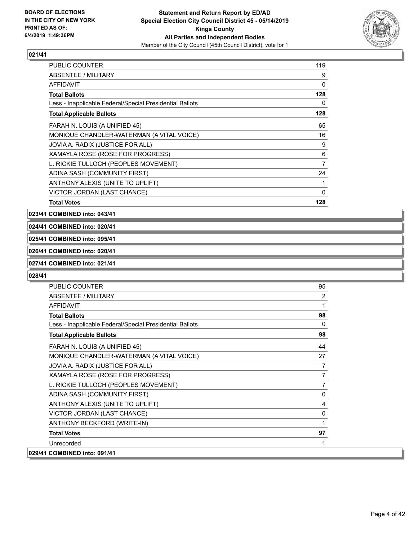

| <b>PUBLIC COUNTER</b>                                    | 119            |
|----------------------------------------------------------|----------------|
| <b>ABSENTEE / MILITARY</b>                               | 9              |
| <b>AFFIDAVIT</b>                                         | 0              |
| <b>Total Ballots</b>                                     | 128            |
| Less - Inapplicable Federal/Special Presidential Ballots | 0              |
| <b>Total Applicable Ballots</b>                          | 128            |
| FARAH N. LOUIS (A UNIFIED 45)                            | 65             |
| MONIQUE CHANDLER-WATERMAN (A VITAL VOICE)                | 16             |
| JOVIA A. RADIX (JUSTICE FOR ALL)                         | 9              |
| XAMAYLA ROSE (ROSE FOR PROGRESS)                         | 6              |
| L. RICKIE TULLOCH (PEOPLES MOVEMENT)                     | $\overline{7}$ |
| ADINA SASH (COMMUNITY FIRST)                             | 24             |
| ANTHONY ALEXIS (UNITE TO UPLIFT)                         | 1              |
| VICTOR JORDAN (LAST CHANCE)                              | 0              |
| <b>Total Votes</b>                                       | 128            |

**023/41 COMBINED into: 043/41**

**024/41 COMBINED into: 020/41**

**025/41 COMBINED into: 095/41**

# **026/41 COMBINED into: 020/41**

#### **027/41 COMBINED into: 021/41**

| <b>PUBLIC COUNTER</b>                                    | 95 |
|----------------------------------------------------------|----|
| ABSENTEE / MILITARY                                      | 2  |
| <b>AFFIDAVIT</b>                                         |    |
| <b>Total Ballots</b>                                     | 98 |
| Less - Inapplicable Federal/Special Presidential Ballots | 0  |
| <b>Total Applicable Ballots</b>                          | 98 |
| FARAH N. LOUIS (A UNIFIED 45)                            | 44 |
| MONIQUE CHANDLER-WATERMAN (A VITAL VOICE)                | 27 |
| JOVIA A. RADIX (JUSTICE FOR ALL)                         | 7  |
| XAMAYLA ROSE (ROSE FOR PROGRESS)                         | 7  |
| L. RICKIE TULLOCH (PEOPLES MOVEMENT)                     |    |
| ADINA SASH (COMMUNITY FIRST)                             | 0  |
| ANTHONY ALEXIS (UNITE TO UPLIFT)                         | 4  |
| VICTOR JORDAN (LAST CHANCE)                              | 0  |
| ANTHONY BECKFORD (WRITE-IN)                              |    |
| <b>Total Votes</b>                                       | 97 |
| Unrecorded                                               |    |
| 029/41 COMBINED into: 091/41                             |    |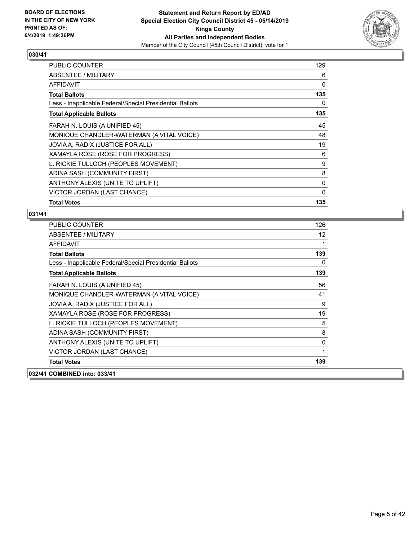

| <b>PUBLIC COUNTER</b>                                    | 129 |
|----------------------------------------------------------|-----|
| ABSENTEE / MILITARY                                      | 6   |
| <b>AFFIDAVIT</b>                                         | 0   |
| <b>Total Ballots</b>                                     | 135 |
| Less - Inapplicable Federal/Special Presidential Ballots | 0   |
| <b>Total Applicable Ballots</b>                          | 135 |
| FARAH N. LOUIS (A UNIFIED 45)                            | 45  |
| MONIQUE CHANDLER-WATERMAN (A VITAL VOICE)                | 48  |
| JOVIA A. RADIX (JUSTICE FOR ALL)                         | 19  |
| XAMAYLA ROSE (ROSE FOR PROGRESS)                         | 6   |
| L. RICKIE TULLOCH (PEOPLES MOVEMENT)                     | 9   |
| ADINA SASH (COMMUNITY FIRST)                             | 8   |
| ANTHONY ALEXIS (UNITE TO UPLIFT)                         | 0   |
| VICTOR JORDAN (LAST CHANCE)                              | 0   |
| <b>Total Votes</b>                                       | 135 |

| <b>PUBLIC COUNTER</b>                                    | 126 |
|----------------------------------------------------------|-----|
| ABSENTEE / MILITARY                                      | 12  |
| <b>AFFIDAVIT</b>                                         | 1   |
| <b>Total Ballots</b>                                     | 139 |
| Less - Inapplicable Federal/Special Presidential Ballots | 0   |
| <b>Total Applicable Ballots</b>                          | 139 |
| FARAH N. LOUIS (A UNIFIED 45)                            | 56  |
| MONIQUE CHANDLER-WATERMAN (A VITAL VOICE)                | 41  |
| JOVIA A. RADIX (JUSTICE FOR ALL)                         | 9   |
| XAMAYLA ROSE (ROSE FOR PROGRESS)                         | 19  |
| L. RICKIE TULLOCH (PEOPLES MOVEMENT)                     | 5   |
| ADINA SASH (COMMUNITY FIRST)                             | 8   |
| ANTHONY ALEXIS (UNITE TO UPLIFT)                         | 0   |
| VICTOR JORDAN (LAST CHANCE)                              | 1   |
| <b>Total Votes</b>                                       | 139 |
| 032/41 COMBINED into: 033/41                             |     |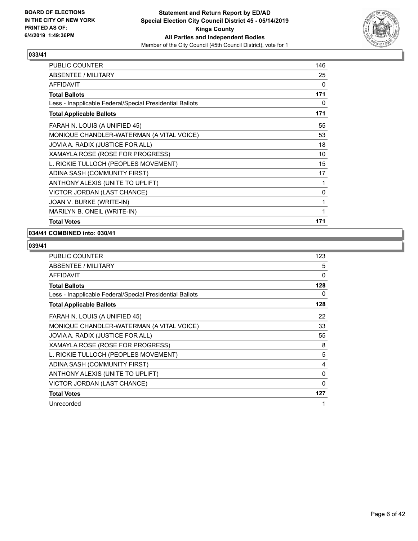

| <b>PUBLIC COUNTER</b>                                    | 146 |
|----------------------------------------------------------|-----|
| <b>ABSENTEE / MILITARY</b>                               | 25  |
| <b>AFFIDAVIT</b>                                         | 0   |
| <b>Total Ballots</b>                                     | 171 |
| Less - Inapplicable Federal/Special Presidential Ballots | 0   |
| <b>Total Applicable Ballots</b>                          | 171 |
| FARAH N. LOUIS (A UNIFIED 45)                            | 55  |
| MONIQUE CHANDLER-WATERMAN (A VITAL VOICE)                | 53  |
| JOVIA A. RADIX (JUSTICE FOR ALL)                         | 18  |
| XAMAYLA ROSE (ROSE FOR PROGRESS)                         | 10  |
| L. RICKIE TULLOCH (PEOPLES MOVEMENT)                     | 15  |
| ADINA SASH (COMMUNITY FIRST)                             | 17  |
| ANTHONY ALEXIS (UNITE TO UPLIFT)                         | 1   |
| VICTOR JORDAN (LAST CHANCE)                              | 0   |
| JOAN V. BURKE (WRITE-IN)                                 | 1   |
| MARILYN B. ONEIL (WRITE-IN)                              | 1   |
| <b>Total Votes</b>                                       | 171 |

#### **034/41 COMBINED into: 030/41**

| <b>PUBLIC COUNTER</b>                                    | 123          |
|----------------------------------------------------------|--------------|
| ABSENTEE / MILITARY                                      | 5            |
| AFFIDAVIT                                                | 0            |
| <b>Total Ballots</b>                                     | 128          |
| Less - Inapplicable Federal/Special Presidential Ballots | 0            |
| <b>Total Applicable Ballots</b>                          | 128          |
| FARAH N. LOUIS (A UNIFIED 45)                            | 22           |
| MONIQUE CHANDLER-WATERMAN (A VITAL VOICE)                | 33           |
| JOVIA A. RADIX (JUSTICE FOR ALL)                         | 55           |
| XAMAYLA ROSE (ROSE FOR PROGRESS)                         | 8            |
| L. RICKIE TULLOCH (PEOPLES MOVEMENT)                     | 5            |
| ADINA SASH (COMMUNITY FIRST)                             | 4            |
| ANTHONY ALEXIS (UNITE TO UPLIFT)                         | 0            |
| VICTOR JORDAN (LAST CHANCE)                              | $\mathbf{0}$ |
| <b>Total Votes</b>                                       | 127          |
| Unrecorded                                               |              |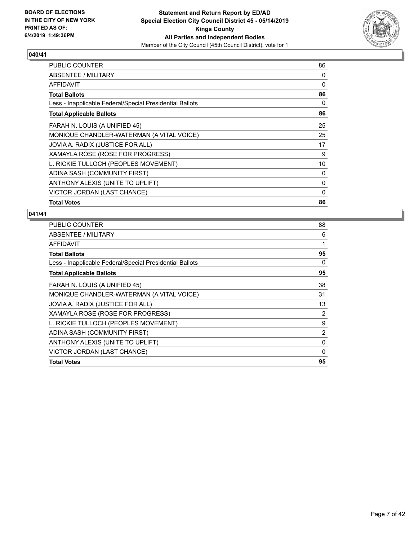

| <b>PUBLIC COUNTER</b>                                    | 86 |
|----------------------------------------------------------|----|
| ABSENTEE / MILITARY                                      | 0  |
| <b>AFFIDAVIT</b>                                         | 0  |
| <b>Total Ballots</b>                                     | 86 |
| Less - Inapplicable Federal/Special Presidential Ballots | 0  |
| <b>Total Applicable Ballots</b>                          | 86 |
| FARAH N. LOUIS (A UNIFIED 45)                            | 25 |
| MONIQUE CHANDLER-WATERMAN (A VITAL VOICE)                | 25 |
| JOVIA A. RADIX (JUSTICE FOR ALL)                         | 17 |
| XAMAYLA ROSE (ROSE FOR PROGRESS)                         | 9  |
| L. RICKIE TULLOCH (PEOPLES MOVEMENT)                     | 10 |
| ADINA SASH (COMMUNITY FIRST)                             | 0  |
| ANTHONY ALEXIS (UNITE TO UPLIFT)                         | 0  |
| VICTOR JORDAN (LAST CHANCE)                              | 0  |
| <b>Total Votes</b>                                       | 86 |

| PUBLIC COUNTER                                           | 88 |
|----------------------------------------------------------|----|
| ABSENTEE / MILITARY                                      | 6  |
| AFFIDAVIT                                                | 1  |
| <b>Total Ballots</b>                                     | 95 |
| Less - Inapplicable Federal/Special Presidential Ballots | 0  |
| <b>Total Applicable Ballots</b>                          | 95 |
| FARAH N. LOUIS (A UNIFIED 45)                            | 38 |
| MONIQUE CHANDLER-WATERMAN (A VITAL VOICE)                | 31 |
| JOVIA A. RADIX (JUSTICE FOR ALL)                         | 13 |
| XAMAYLA ROSE (ROSE FOR PROGRESS)                         | 2  |
| L. RICKIE TULLOCH (PEOPLES MOVEMENT)                     | 9  |
| ADINA SASH (COMMUNITY FIRST)                             | 2  |
| ANTHONY ALEXIS (UNITE TO UPLIFT)                         | 0  |
| VICTOR JORDAN (LAST CHANCE)                              | 0  |
| <b>Total Votes</b>                                       | 95 |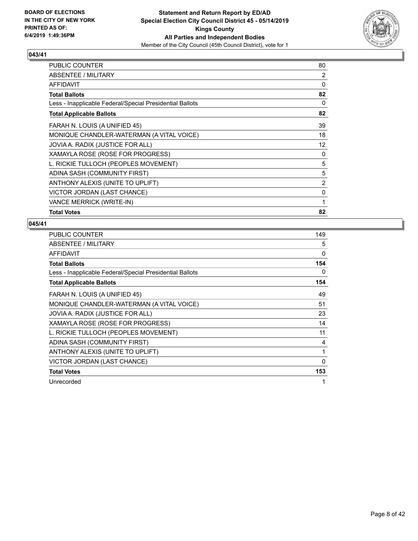

| <b>PUBLIC COUNTER</b>                                    | 80       |
|----------------------------------------------------------|----------|
| ABSENTEE / MILITARY                                      | 2        |
| <b>AFFIDAVIT</b>                                         | 0        |
| <b>Total Ballots</b>                                     | 82       |
| Less - Inapplicable Federal/Special Presidential Ballots | $\Omega$ |
| <b>Total Applicable Ballots</b>                          | 82       |
| FARAH N. LOUIS (A UNIFIED 45)                            | 39       |
| MONIQUE CHANDLER-WATERMAN (A VITAL VOICE)                | 18       |
| JOVIA A. RADIX (JUSTICE FOR ALL)                         | 12       |
| XAMAYLA ROSE (ROSE FOR PROGRESS)                         | 0        |
| L. RICKIE TULLOCH (PEOPLES MOVEMENT)                     | 5        |
| ADINA SASH (COMMUNITY FIRST)                             | 5        |
| ANTHONY ALEXIS (UNITE TO UPLIFT)                         | 2        |
| VICTOR JORDAN (LAST CHANCE)                              | 0        |
| VANCE MERRICK (WRITE-IN)                                 | 1        |
| <b>Total Votes</b>                                       | 82       |

| PUBLIC COUNTER                                           | 149 |
|----------------------------------------------------------|-----|
| ABSENTEE / MILITARY                                      | 5   |
| <b>AFFIDAVIT</b>                                         | 0   |
| <b>Total Ballots</b>                                     | 154 |
| Less - Inapplicable Federal/Special Presidential Ballots | 0   |
| <b>Total Applicable Ballots</b>                          | 154 |
| FARAH N. LOUIS (A UNIFIED 45)                            | 49  |
| MONIQUE CHANDLER-WATERMAN (A VITAL VOICE)                | 51  |
| JOVIA A. RADIX (JUSTICE FOR ALL)                         | 23  |
| XAMAYLA ROSE (ROSE FOR PROGRESS)                         | 14  |
| L. RICKIE TULLOCH (PEOPLES MOVEMENT)                     | 11  |
| ADINA SASH (COMMUNITY FIRST)                             | 4   |
| ANTHONY ALEXIS (UNITE TO UPLIFT)                         | 1   |
| VICTOR JORDAN (LAST CHANCE)                              | 0   |
| <b>Total Votes</b>                                       | 153 |
| Unrecorded                                               | 1   |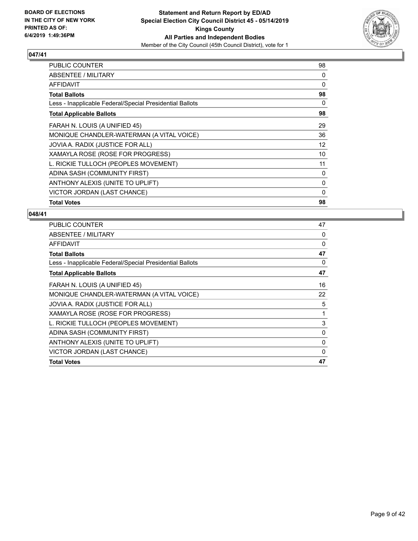

| <b>PUBLIC COUNTER</b>                                    | 98 |
|----------------------------------------------------------|----|
| ABSENTEE / MILITARY                                      | 0  |
| <b>AFFIDAVIT</b>                                         | 0  |
| <b>Total Ballots</b>                                     | 98 |
| Less - Inapplicable Federal/Special Presidential Ballots | 0  |
| <b>Total Applicable Ballots</b>                          | 98 |
| FARAH N. LOUIS (A UNIFIED 45)                            | 29 |
| MONIQUE CHANDLER-WATERMAN (A VITAL VOICE)                | 36 |
| JOVIA A. RADIX (JUSTICE FOR ALL)                         | 12 |
| XAMAYLA ROSE (ROSE FOR PROGRESS)                         | 10 |
| L. RICKIE TULLOCH (PEOPLES MOVEMENT)                     | 11 |
| ADINA SASH (COMMUNITY FIRST)                             | 0  |
| ANTHONY ALEXIS (UNITE TO UPLIFT)                         | 0  |
| VICTOR JORDAN (LAST CHANCE)                              | 0  |
| <b>Total Votes</b>                                       | 98 |

| PUBLIC COUNTER                                           | 47 |
|----------------------------------------------------------|----|
| ABSENTEE / MILITARY                                      | 0  |
| <b>AFFIDAVIT</b>                                         | 0  |
| <b>Total Ballots</b>                                     | 47 |
| Less - Inapplicable Federal/Special Presidential Ballots | 0  |
| <b>Total Applicable Ballots</b>                          | 47 |
| FARAH N. LOUIS (A UNIFIED 45)                            | 16 |
| MONIQUE CHANDLER-WATERMAN (A VITAL VOICE)                | 22 |
| JOVIA A. RADIX (JUSTICE FOR ALL)                         | 5  |
| XAMAYLA ROSE (ROSE FOR PROGRESS)                         | 1  |
| L. RICKIE TULLOCH (PEOPLES MOVEMENT)                     | 3  |
| ADINA SASH (COMMUNITY FIRST)                             | 0  |
| ANTHONY ALEXIS (UNITE TO UPLIFT)                         | 0  |
| VICTOR JORDAN (LAST CHANCE)                              | 0  |
| <b>Total Votes</b>                                       | 47 |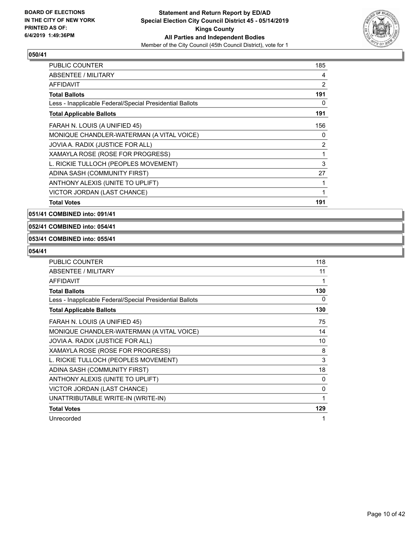

| <b>PUBLIC COUNTER</b>                                    | 185 |
|----------------------------------------------------------|-----|
| <b>ABSENTEE / MILITARY</b>                               | 4   |
| AFFIDAVIT                                                | 2   |
| <b>Total Ballots</b>                                     | 191 |
| Less - Inapplicable Federal/Special Presidential Ballots | 0   |
| <b>Total Applicable Ballots</b>                          | 191 |
| FARAH N. LOUIS (A UNIFIED 45)                            | 156 |
| MONIQUE CHANDLER-WATERMAN (A VITAL VOICE)                | 0   |
| JOVIA A. RADIX (JUSTICE FOR ALL)                         | 2   |
| XAMAYLA ROSE (ROSE FOR PROGRESS)                         | 1   |
| L. RICKIE TULLOCH (PEOPLES MOVEMENT)                     | 3   |
| ADINA SASH (COMMUNITY FIRST)                             | 27  |
| ANTHONY ALEXIS (UNITE TO UPLIFT)                         | 1   |
| VICTOR JORDAN (LAST CHANCE)                              | 1   |
| <b>Total Votes</b>                                       | 191 |

**051/41 COMBINED into: 091/41**

#### **052/41 COMBINED into: 054/41**

#### **053/41 COMBINED into: 055/41**

| PUBLIC COUNTER                                           | 118 |
|----------------------------------------------------------|-----|
| ABSENTEE / MILITARY                                      | 11  |
| AFFIDAVIT                                                | 1   |
| <b>Total Ballots</b>                                     | 130 |
| Less - Inapplicable Federal/Special Presidential Ballots | 0   |
| <b>Total Applicable Ballots</b>                          | 130 |
| FARAH N. LOUIS (A UNIFIED 45)                            | 75  |
| MONIQUE CHANDLER-WATERMAN (A VITAL VOICE)                | 14  |
| JOVIA A. RADIX (JUSTICE FOR ALL)                         | 10  |
| XAMAYLA ROSE (ROSE FOR PROGRESS)                         | 8   |
| L. RICKIE TULLOCH (PEOPLES MOVEMENT)                     | 3   |
| ADINA SASH (COMMUNITY FIRST)                             | 18  |
| ANTHONY ALEXIS (UNITE TO UPLIFT)                         | 0   |
| VICTOR JORDAN (LAST CHANCE)                              | 0   |
| UNATTRIBUTABLE WRITE-IN (WRITE-IN)                       | 1   |
| <b>Total Votes</b>                                       | 129 |
| Unrecorded                                               | 1   |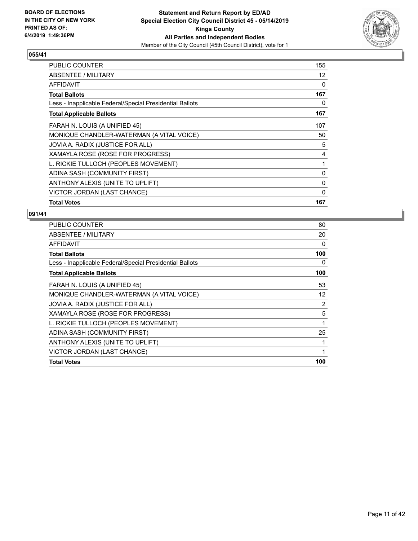

| <b>Total Votes</b>                                       | 167 |
|----------------------------------------------------------|-----|
| VICTOR JORDAN (LAST CHANCE)                              | 0   |
| ANTHONY ALEXIS (UNITE TO UPLIFT)                         | 0   |
| ADINA SASH (COMMUNITY FIRST)                             | 0   |
| L. RICKIE TULLOCH (PEOPLES MOVEMENT)                     | 1   |
| XAMAYLA ROSE (ROSE FOR PROGRESS)                         | 4   |
| JOVIA A. RADIX (JUSTICE FOR ALL)                         | 5   |
| MONIQUE CHANDLER-WATERMAN (A VITAL VOICE)                | 50  |
| FARAH N. LOUIS (A UNIFIED 45)                            | 107 |
| <b>Total Applicable Ballots</b>                          | 167 |
| Less - Inapplicable Federal/Special Presidential Ballots | 0   |
| <b>Total Ballots</b>                                     | 167 |
| <b>AFFIDAVIT</b>                                         | 0   |
| ABSENTEE / MILITARY                                      | 12  |
| <b>PUBLIC COUNTER</b>                                    | 155 |

| PUBLIC COUNTER                                           | 80  |
|----------------------------------------------------------|-----|
| ABSENTEE / MILITARY                                      | 20  |
| AFFIDAVIT                                                | 0   |
| <b>Total Ballots</b>                                     | 100 |
| Less - Inapplicable Federal/Special Presidential Ballots | 0   |
| <b>Total Applicable Ballots</b>                          | 100 |
| FARAH N. LOUIS (A UNIFIED 45)                            | 53  |
| MONIQUE CHANDLER-WATERMAN (A VITAL VOICE)                | 12  |
| JOVIA A. RADIX (JUSTICE FOR ALL)                         | 2   |
| XAMAYLA ROSE (ROSE FOR PROGRESS)                         | 5   |
| L. RICKIE TULLOCH (PEOPLES MOVEMENT)                     | 1   |
| ADINA SASH (COMMUNITY FIRST)                             | 25  |
| ANTHONY ALEXIS (UNITE TO UPLIFT)                         | 1   |
| VICTOR JORDAN (LAST CHANCE)                              | 1   |
| <b>Total Votes</b>                                       | 100 |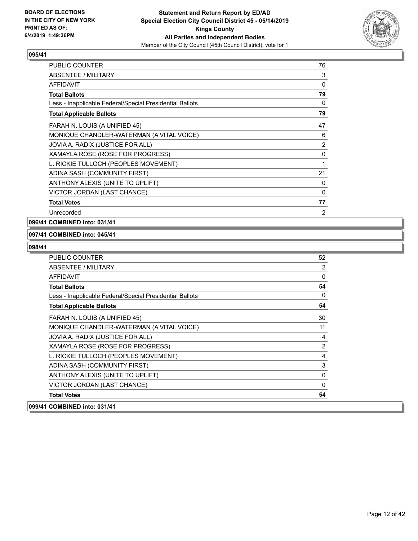

| <b>PUBLIC COUNTER</b>                                    | 76             |
|----------------------------------------------------------|----------------|
| <b>ABSENTEE / MILITARY</b>                               | 3              |
| <b>AFFIDAVIT</b>                                         | 0              |
| <b>Total Ballots</b>                                     | 79             |
| Less - Inapplicable Federal/Special Presidential Ballots | 0              |
| <b>Total Applicable Ballots</b>                          | 79             |
| FARAH N. LOUIS (A UNIFIED 45)                            | 47             |
| MONIQUE CHANDLER-WATERMAN (A VITAL VOICE)                | 6              |
| JOVIA A. RADIX (JUSTICE FOR ALL)                         | 2              |
| XAMAYLA ROSE (ROSE FOR PROGRESS)                         | 0              |
| L. RICKIE TULLOCH (PEOPLES MOVEMENT)                     | 1              |
| ADINA SASH (COMMUNITY FIRST)                             | 21             |
| ANTHONY ALEXIS (UNITE TO UPLIFT)                         | 0              |
| VICTOR JORDAN (LAST CHANCE)                              | 0              |
| <b>Total Votes</b>                                       | 77             |
| Unrecorded                                               | $\overline{2}$ |

#### **096/41 COMBINED into: 031/41**

#### **097/41 COMBINED into: 045/41**

| PUBLIC COUNTER                                           | 52             |
|----------------------------------------------------------|----------------|
| ABSENTEE / MILITARY                                      | 2              |
| <b>AFFIDAVIT</b>                                         | $\mathbf 0$    |
| <b>Total Ballots</b>                                     | 54             |
| Less - Inapplicable Federal/Special Presidential Ballots | $\Omega$       |
| <b>Total Applicable Ballots</b>                          | 54             |
| FARAH N. LOUIS (A UNIFIED 45)                            | 30             |
| MONIQUE CHANDLER-WATERMAN (A VITAL VOICE)                | 11             |
| JOVIA A. RADIX (JUSTICE FOR ALL)                         | $\overline{4}$ |
| XAMAYLA ROSE (ROSE FOR PROGRESS)                         | 2              |
| L. RICKIE TULLOCH (PEOPLES MOVEMENT)                     | 4              |
| ADINA SASH (COMMUNITY FIRST)                             | 3              |
| ANTHONY ALEXIS (UNITE TO UPLIFT)                         | $\Omega$       |
| VICTOR JORDAN (LAST CHANCE)                              | $\Omega$       |
| <b>Total Votes</b>                                       | 54             |
| 099/41 COMBINED into: 031/41                             |                |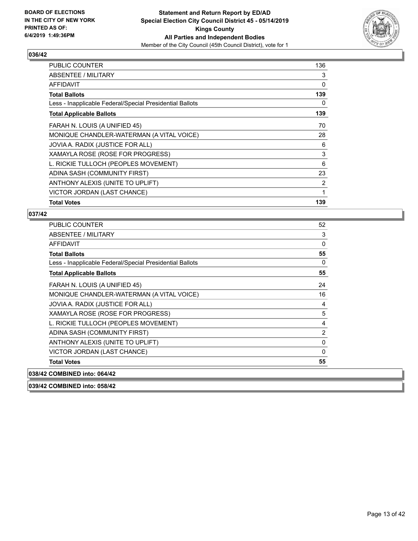

| <b>PUBLIC COUNTER</b>                                    | 136 |
|----------------------------------------------------------|-----|
| ABSENTEE / MILITARY                                      | 3   |
| <b>AFFIDAVIT</b>                                         | 0   |
| <b>Total Ballots</b>                                     | 139 |
| Less - Inapplicable Federal/Special Presidential Ballots | 0   |
| <b>Total Applicable Ballots</b>                          | 139 |
| FARAH N. LOUIS (A UNIFIED 45)                            | 70  |
| MONIQUE CHANDLER-WATERMAN (A VITAL VOICE)                | 28  |
| JOVIA A. RADIX (JUSTICE FOR ALL)                         | 6   |
| XAMAYLA ROSE (ROSE FOR PROGRESS)                         | 3   |
| L. RICKIE TULLOCH (PEOPLES MOVEMENT)                     | 6   |
| ADINA SASH (COMMUNITY FIRST)                             | 23  |
| ANTHONY ALEXIS (UNITE TO UPLIFT)                         | 2   |
| VICTOR JORDAN (LAST CHANCE)                              | 1   |
| <b>Total Votes</b>                                       | 139 |

# **037/42**

| <b>PUBLIC COUNTER</b>                                    | 52             |
|----------------------------------------------------------|----------------|
| ABSENTEE / MILITARY                                      | 3              |
| <b>AFFIDAVIT</b>                                         | 0              |
| <b>Total Ballots</b>                                     | 55             |
| Less - Inapplicable Federal/Special Presidential Ballots | $\Omega$       |
| <b>Total Applicable Ballots</b>                          | 55             |
| FARAH N. LOUIS (A UNIFIED 45)                            | 24             |
| MONIQUE CHANDLER-WATERMAN (A VITAL VOICE)                | 16             |
| JOVIA A. RADIX (JUSTICE FOR ALL)                         | 4              |
| XAMAYLA ROSE (ROSE FOR PROGRESS)                         | 5              |
| L. RICKIE TULLOCH (PEOPLES MOVEMENT)                     | 4              |
| ADINA SASH (COMMUNITY FIRST)                             | $\overline{2}$ |
| ANTHONY ALEXIS (UNITE TO UPLIFT)                         | 0              |
| VICTOR JORDAN (LAST CHANCE)                              | $\Omega$       |
| <b>Total Votes</b>                                       | 55             |
| 038/42 COMBINED into: 064/42                             |                |

**039/42 COMBINED into: 058/42**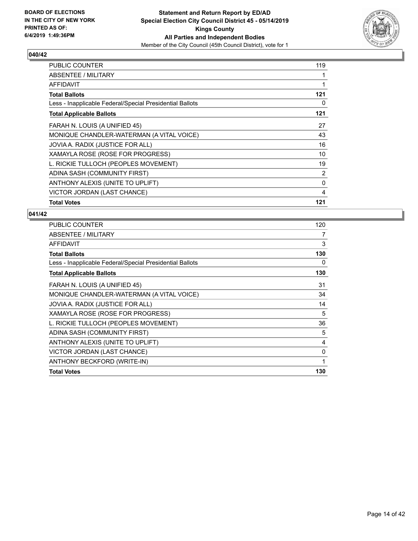

| <b>PUBLIC COUNTER</b>                                    | 119 |
|----------------------------------------------------------|-----|
| ABSENTEE / MILITARY                                      |     |
| <b>AFFIDAVIT</b>                                         | 1   |
| <b>Total Ballots</b>                                     | 121 |
| Less - Inapplicable Federal/Special Presidential Ballots | 0   |
| <b>Total Applicable Ballots</b>                          | 121 |
| FARAH N. LOUIS (A UNIFIED 45)                            | 27  |
| MONIQUE CHANDLER-WATERMAN (A VITAL VOICE)                | 43  |
| JOVIA A. RADIX (JUSTICE FOR ALL)                         | 16  |
| XAMAYLA ROSE (ROSE FOR PROGRESS)                         | 10  |
| L. RICKIE TULLOCH (PEOPLES MOVEMENT)                     | 19  |
| ADINA SASH (COMMUNITY FIRST)                             | 2   |
| ANTHONY ALEXIS (UNITE TO UPLIFT)                         | 0   |
| VICTOR JORDAN (LAST CHANCE)                              | 4   |
| <b>Total Votes</b>                                       | 121 |

| PUBLIC COUNTER                                           | 120 |
|----------------------------------------------------------|-----|
| ABSENTEE / MILITARY                                      | 7   |
| AFFIDAVIT                                                | 3   |
| <b>Total Ballots</b>                                     | 130 |
| Less - Inapplicable Federal/Special Presidential Ballots | 0   |
| <b>Total Applicable Ballots</b>                          | 130 |
| FARAH N. LOUIS (A UNIFIED 45)                            | 31  |
| MONIQUE CHANDLER-WATERMAN (A VITAL VOICE)                | 34  |
| JOVIA A. RADIX (JUSTICE FOR ALL)                         | 14  |
| XAMAYLA ROSE (ROSE FOR PROGRESS)                         | 5   |
| L. RICKIE TULLOCH (PEOPLES MOVEMENT)                     | 36  |
| ADINA SASH (COMMUNITY FIRST)                             | 5   |
| ANTHONY ALEXIS (UNITE TO UPLIFT)                         | 4   |
| VICTOR JORDAN (LAST CHANCE)                              | 0   |
| ANTHONY BECKFORD (WRITE-IN)                              | 1   |
| <b>Total Votes</b>                                       | 130 |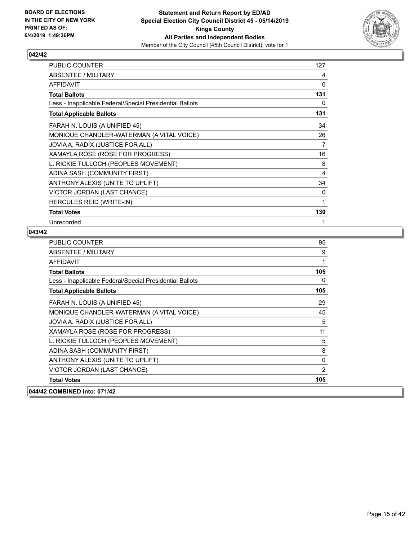

| <b>PUBLIC COUNTER</b>                                    | 127 |
|----------------------------------------------------------|-----|
| ABSENTEE / MILITARY                                      | 4   |
| <b>AFFIDAVIT</b>                                         | 0   |
| <b>Total Ballots</b>                                     | 131 |
| Less - Inapplicable Federal/Special Presidential Ballots | 0   |
| <b>Total Applicable Ballots</b>                          | 131 |
| FARAH N. LOUIS (A UNIFIED 45)                            | 34  |
| MONIQUE CHANDLER-WATERMAN (A VITAL VOICE)                | 26  |
| JOVIA A. RADIX (JUSTICE FOR ALL)                         | 7   |
| XAMAYLA ROSE (ROSE FOR PROGRESS)                         | 16  |
| L. RICKIE TULLOCH (PEOPLES MOVEMENT)                     | 8   |
| ADINA SASH (COMMUNITY FIRST)                             | 4   |
| ANTHONY ALEXIS (UNITE TO UPLIFT)                         | 34  |
| VICTOR JORDAN (LAST CHANCE)                              | 0   |
| HERCULES REID (WRITE-IN)                                 | 1   |
| <b>Total Votes</b>                                       | 130 |
| Unrecorded                                               | 1   |

| PUBLIC COUNTER                                           | 95  |
|----------------------------------------------------------|-----|
| ABSENTEE / MILITARY                                      | 9   |
| <b>AFFIDAVIT</b>                                         | 1   |
| <b>Total Ballots</b>                                     | 105 |
| Less - Inapplicable Federal/Special Presidential Ballots | 0   |
| <b>Total Applicable Ballots</b>                          | 105 |
| FARAH N. LOUIS (A UNIFIED 45)                            | 29  |
| MONIQUE CHANDLER-WATERMAN (A VITAL VOICE)                | 45  |
| JOVIA A. RADIX (JUSTICE FOR ALL)                         | 5   |
| XAMAYLA ROSE (ROSE FOR PROGRESS)                         | 11  |
| L. RICKIE TULLOCH (PEOPLES MOVEMENT)                     | 5   |
| ADINA SASH (COMMUNITY FIRST)                             | 8   |
| ANTHONY ALEXIS (UNITE TO UPLIFT)                         | 0   |
| VICTOR JORDAN (LAST CHANCE)                              | 2   |
| <b>Total Votes</b>                                       | 105 |
| 044/42 COMBINED into: 071/42                             |     |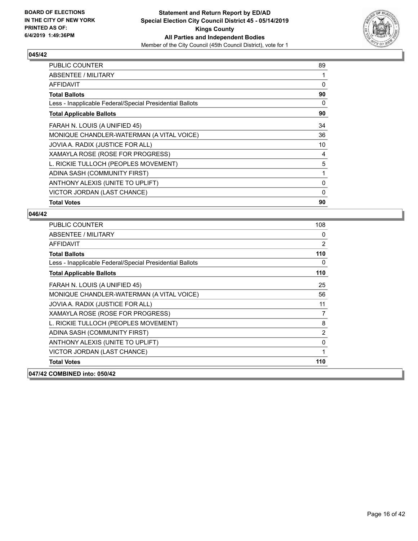

| <b>PUBLIC COUNTER</b>                                    | 89 |
|----------------------------------------------------------|----|
| ABSENTEE / MILITARY                                      |    |
| AFFIDAVIT                                                | 0  |
| <b>Total Ballots</b>                                     | 90 |
| Less - Inapplicable Federal/Special Presidential Ballots | 0  |
| <b>Total Applicable Ballots</b>                          | 90 |
| FARAH N. LOUIS (A UNIFIED 45)                            | 34 |
| MONIQUE CHANDLER-WATERMAN (A VITAL VOICE)                | 36 |
| JOVIA A. RADIX (JUSTICE FOR ALL)                         | 10 |
| XAMAYLA ROSE (ROSE FOR PROGRESS)                         | 4  |
| L. RICKIE TULLOCH (PEOPLES MOVEMENT)                     | 5  |
| ADINA SASH (COMMUNITY FIRST)                             | 1  |
| ANTHONY ALEXIS (UNITE TO UPLIFT)                         | 0  |
| VICTOR JORDAN (LAST CHANCE)                              | 0  |
| <b>Total Votes</b>                                       | 90 |

| <b>PUBLIC COUNTER</b>                                    | 108            |
|----------------------------------------------------------|----------------|
| ABSENTEE / MILITARY                                      | 0              |
| <b>AFFIDAVIT</b>                                         | $\overline{2}$ |
| <b>Total Ballots</b>                                     | 110            |
| Less - Inapplicable Federal/Special Presidential Ballots | 0              |
| <b>Total Applicable Ballots</b>                          | 110            |
| FARAH N. LOUIS (A UNIFIED 45)                            | 25             |
| MONIQUE CHANDLER-WATERMAN (A VITAL VOICE)                | 56             |
| JOVIA A. RADIX (JUSTICE FOR ALL)                         | 11             |
| XAMAYLA ROSE (ROSE FOR PROGRESS)                         | 7              |
| L. RICKIE TULLOCH (PEOPLES MOVEMENT)                     | 8              |
| ADINA SASH (COMMUNITY FIRST)                             | $\overline{2}$ |
| ANTHONY ALEXIS (UNITE TO UPLIFT)                         | 0              |
| VICTOR JORDAN (LAST CHANCE)                              | 1              |
| <b>Total Votes</b>                                       | 110            |
| 047/42 COMBINED into: 050/42                             |                |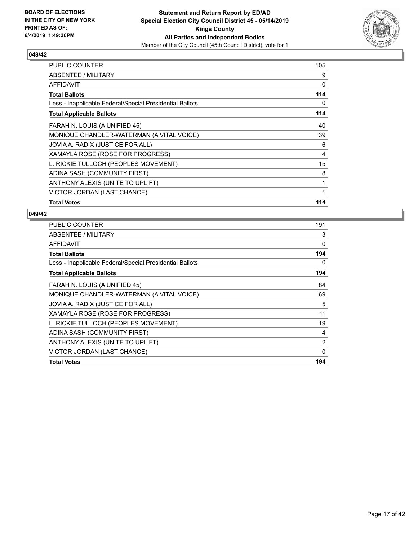

| <b>PUBLIC COUNTER</b>                                    | 105 |
|----------------------------------------------------------|-----|
| ABSENTEE / MILITARY                                      | 9   |
| <b>AFFIDAVIT</b>                                         | 0   |
| <b>Total Ballots</b>                                     | 114 |
| Less - Inapplicable Federal/Special Presidential Ballots | 0   |
| <b>Total Applicable Ballots</b>                          | 114 |
| FARAH N. LOUIS (A UNIFIED 45)                            | 40  |
| MONIQUE CHANDLER-WATERMAN (A VITAL VOICE)                | 39  |
| JOVIA A. RADIX (JUSTICE FOR ALL)                         | 6   |
| XAMAYLA ROSE (ROSE FOR PROGRESS)                         | 4   |
| L. RICKIE TULLOCH (PEOPLES MOVEMENT)                     | 15  |
| ADINA SASH (COMMUNITY FIRST)                             | 8   |
| ANTHONY ALEXIS (UNITE TO UPLIFT)                         | 1   |
| VICTOR JORDAN (LAST CHANCE)                              | 1   |
| <b>Total Votes</b>                                       | 114 |

| PUBLIC COUNTER                                           | 191      |
|----------------------------------------------------------|----------|
| ABSENTEE / MILITARY                                      | 3        |
| AFFIDAVIT                                                | 0        |
| <b>Total Ballots</b>                                     | 194      |
| Less - Inapplicable Federal/Special Presidential Ballots | 0        |
| <b>Total Applicable Ballots</b>                          | 194      |
| FARAH N. LOUIS (A UNIFIED 45)                            | 84       |
| MONIQUE CHANDLER-WATERMAN (A VITAL VOICE)                | 69       |
| JOVIA A. RADIX (JUSTICE FOR ALL)                         | 5        |
| XAMAYLA ROSE (ROSE FOR PROGRESS)                         | 11       |
| L. RICKIE TULLOCH (PEOPLES MOVEMENT)                     | 19       |
| ADINA SASH (COMMUNITY FIRST)                             | 4        |
| ANTHONY ALEXIS (UNITE TO UPLIFT)                         | 2        |
| VICTOR JORDAN (LAST CHANCE)                              | $\Omega$ |
| <b>Total Votes</b>                                       | 194      |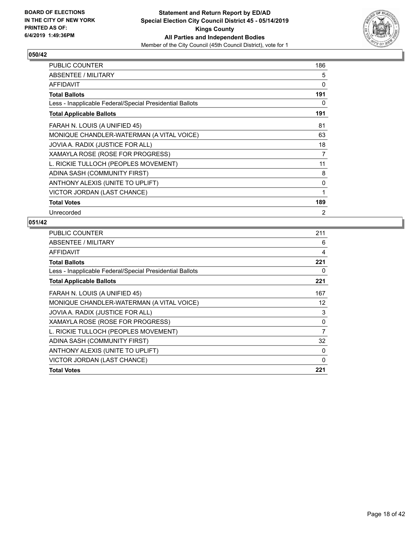

| <b>PUBLIC COUNTER</b>                                    | 186            |
|----------------------------------------------------------|----------------|
| ABSENTEE / MILITARY                                      | 5              |
| <b>AFFIDAVIT</b>                                         | 0              |
| <b>Total Ballots</b>                                     | 191            |
| Less - Inapplicable Federal/Special Presidential Ballots | 0              |
| <b>Total Applicable Ballots</b>                          | 191            |
| FARAH N. LOUIS (A UNIFIED 45)                            | 81             |
| MONIQUE CHANDLER-WATERMAN (A VITAL VOICE)                | 63             |
| JOVIA A. RADIX (JUSTICE FOR ALL)                         | 18             |
| XAMAYLA ROSE (ROSE FOR PROGRESS)                         | 7              |
| L. RICKIE TULLOCH (PEOPLES MOVEMENT)                     | 11             |
| ADINA SASH (COMMUNITY FIRST)                             | 8              |
| ANTHONY ALEXIS (UNITE TO UPLIFT)                         | 0              |
| VICTOR JORDAN (LAST CHANCE)                              | 1              |
| <b>Total Votes</b>                                       | 189            |
| Unrecorded                                               | $\overline{2}$ |

| <b>PUBLIC COUNTER</b>                                    | 211            |
|----------------------------------------------------------|----------------|
| ABSENTEE / MILITARY                                      | 6              |
| AFFIDAVIT                                                | 4              |
| <b>Total Ballots</b>                                     | 221            |
| Less - Inapplicable Federal/Special Presidential Ballots | 0              |
| <b>Total Applicable Ballots</b>                          | 221            |
| FARAH N. LOUIS (A UNIFIED 45)                            | 167            |
| MONIQUE CHANDLER-WATERMAN (A VITAL VOICE)                | 12             |
| JOVIA A. RADIX (JUSTICE FOR ALL)                         | 3              |
| XAMAYLA ROSE (ROSE FOR PROGRESS)                         | 0              |
| L. RICKIE TULLOCH (PEOPLES MOVEMENT)                     | $\overline{7}$ |
| ADINA SASH (COMMUNITY FIRST)                             | 32             |
| ANTHONY ALEXIS (UNITE TO UPLIFT)                         | 0              |
| VICTOR JORDAN (LAST CHANCE)                              | $\Omega$       |
| <b>Total Votes</b>                                       | 221            |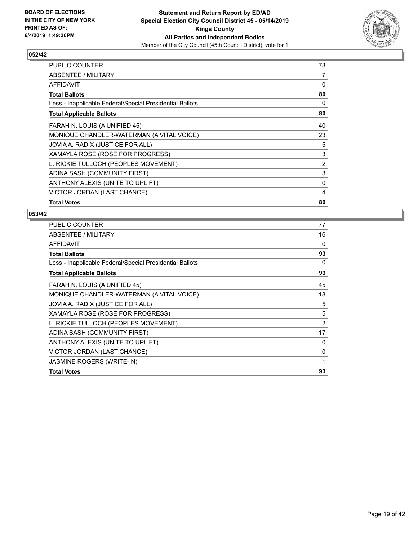

| <b>PUBLIC COUNTER</b>                                    | 73 |
|----------------------------------------------------------|----|
| ABSENTEE / MILITARY                                      | 7  |
| AFFIDAVIT                                                | 0  |
| <b>Total Ballots</b>                                     | 80 |
| Less - Inapplicable Federal/Special Presidential Ballots | 0  |
| <b>Total Applicable Ballots</b>                          | 80 |
| FARAH N. LOUIS (A UNIFIED 45)                            | 40 |
| MONIQUE CHANDLER-WATERMAN (A VITAL VOICE)                | 23 |
| JOVIA A. RADIX (JUSTICE FOR ALL)                         | 5  |
| XAMAYLA ROSE (ROSE FOR PROGRESS)                         | 3  |
| L. RICKIE TULLOCH (PEOPLES MOVEMENT)                     | 2  |
| ADINA SASH (COMMUNITY FIRST)                             | 3  |
| ANTHONY ALEXIS (UNITE TO UPLIFT)                         | 0  |
| VICTOR JORDAN (LAST CHANCE)                              | 4  |
| <b>Total Votes</b>                                       | 80 |

| PUBLIC COUNTER                                           | 77 |
|----------------------------------------------------------|----|
| ABSENTEE / MILITARY                                      | 16 |
| <b>AFFIDAVIT</b>                                         | 0  |
| <b>Total Ballots</b>                                     | 93 |
| Less - Inapplicable Federal/Special Presidential Ballots | 0  |
| <b>Total Applicable Ballots</b>                          | 93 |
| FARAH N. LOUIS (A UNIFIED 45)                            | 45 |
| MONIQUE CHANDLER-WATERMAN (A VITAL VOICE)                | 18 |
| JOVIA A. RADIX (JUSTICE FOR ALL)                         | 5  |
| XAMAYLA ROSE (ROSE FOR PROGRESS)                         | 5  |
| L. RICKIE TULLOCH (PEOPLES MOVEMENT)                     | 2  |
| ADINA SASH (COMMUNITY FIRST)                             | 17 |
| ANTHONY ALEXIS (UNITE TO UPLIFT)                         | 0  |
| VICTOR JORDAN (LAST CHANCE)                              | 0  |
| <b>JASMINE ROGERS (WRITE-IN)</b>                         | 1  |
| <b>Total Votes</b>                                       | 93 |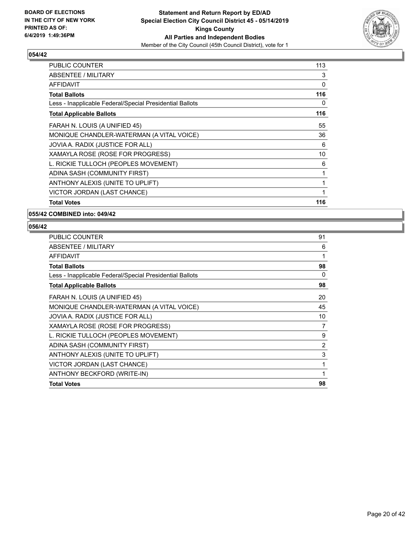

| <b>PUBLIC COUNTER</b>                                    | 113 |
|----------------------------------------------------------|-----|
| ABSENTEE / MILITARY                                      | 3   |
| <b>AFFIDAVIT</b>                                         | 0   |
| <b>Total Ballots</b>                                     | 116 |
| Less - Inapplicable Federal/Special Presidential Ballots | 0   |
| <b>Total Applicable Ballots</b>                          | 116 |
| FARAH N. LOUIS (A UNIFIED 45)                            | 55  |
| MONIQUE CHANDLER-WATERMAN (A VITAL VOICE)                | 36  |
| JOVIA A. RADIX (JUSTICE FOR ALL)                         | 6   |
| XAMAYLA ROSE (ROSE FOR PROGRESS)                         | 10  |
| L. RICKIE TULLOCH (PEOPLES MOVEMENT)                     | 6   |
| ADINA SASH (COMMUNITY FIRST)                             | 1   |
| ANTHONY ALEXIS (UNITE TO UPLIFT)                         | 1   |
| VICTOR JORDAN (LAST CHANCE)                              | 1   |
| <b>Total Votes</b>                                       | 116 |

**055/42 COMBINED into: 049/42**

| <b>PUBLIC COUNTER</b>                                    | 91             |
|----------------------------------------------------------|----------------|
| ABSENTEE / MILITARY                                      | 6              |
| AFFIDAVIT                                                | 1              |
| <b>Total Ballots</b>                                     | 98             |
| Less - Inapplicable Federal/Special Presidential Ballots | $\Omega$       |
| <b>Total Applicable Ballots</b>                          | 98             |
| FARAH N. LOUIS (A UNIFIED 45)                            | 20             |
| MONIQUE CHANDLER-WATERMAN (A VITAL VOICE)                | 45             |
| JOVIA A. RADIX (JUSTICE FOR ALL)                         | 10             |
| XAMAYLA ROSE (ROSE FOR PROGRESS)                         | 7              |
| L. RICKIE TULLOCH (PEOPLES MOVEMENT)                     | 9              |
| ADINA SASH (COMMUNITY FIRST)                             | $\overline{2}$ |
| ANTHONY ALEXIS (UNITE TO UPLIFT)                         | 3              |
| VICTOR JORDAN (LAST CHANCE)                              | 1              |
| ANTHONY BECKFORD (WRITE-IN)                              | 1              |
| <b>Total Votes</b>                                       | 98             |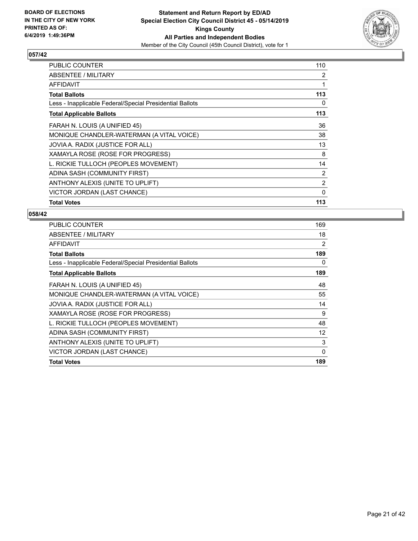

| <b>PUBLIC COUNTER</b>                                    | 110            |
|----------------------------------------------------------|----------------|
| ABSENTEE / MILITARY                                      | 2              |
| AFFIDAVIT                                                | 1              |
| <b>Total Ballots</b>                                     | 113            |
| Less - Inapplicable Federal/Special Presidential Ballots | 0              |
| <b>Total Applicable Ballots</b>                          | 113            |
| FARAH N. LOUIS (A UNIFIED 45)                            | 36             |
| MONIQUE CHANDLER-WATERMAN (A VITAL VOICE)                | 38             |
| JOVIA A. RADIX (JUSTICE FOR ALL)                         | 13             |
| XAMAYLA ROSE (ROSE FOR PROGRESS)                         | 8              |
| L. RICKIE TULLOCH (PEOPLES MOVEMENT)                     | 14             |
| ADINA SASH (COMMUNITY FIRST)                             | 2              |
| ANTHONY ALEXIS (UNITE TO UPLIFT)                         | $\overline{2}$ |
| VICTOR JORDAN (LAST CHANCE)                              | $\mathbf{0}$   |
| <b>Total Votes</b>                                       | 113            |

| PUBLIC COUNTER                                           | 169 |
|----------------------------------------------------------|-----|
| ABSENTEE / MILITARY                                      | 18  |
| AFFIDAVIT                                                | 2   |
| <b>Total Ballots</b>                                     | 189 |
| Less - Inapplicable Federal/Special Presidential Ballots | 0   |
| <b>Total Applicable Ballots</b>                          | 189 |
| FARAH N. LOUIS (A UNIFIED 45)                            | 48  |
| MONIQUE CHANDLER-WATERMAN (A VITAL VOICE)                | 55  |
| JOVIA A. RADIX (JUSTICE FOR ALL)                         | 14  |
| XAMAYLA ROSE (ROSE FOR PROGRESS)                         | 9   |
| L. RICKIE TULLOCH (PEOPLES MOVEMENT)                     | 48  |
| ADINA SASH (COMMUNITY FIRST)                             | 12  |
| ANTHONY ALEXIS (UNITE TO UPLIFT)                         | 3   |
| VICTOR JORDAN (LAST CHANCE)                              | 0   |
| <b>Total Votes</b>                                       | 189 |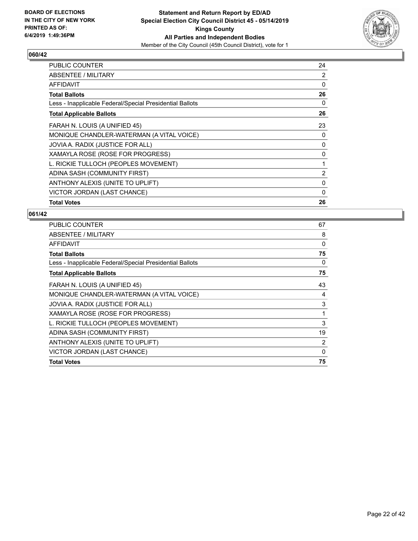

| <b>PUBLIC COUNTER</b>                                    | 24       |
|----------------------------------------------------------|----------|
| ABSENTEE / MILITARY                                      | 2        |
| AFFIDAVIT                                                | 0        |
| <b>Total Ballots</b>                                     | 26       |
| Less - Inapplicable Federal/Special Presidential Ballots | 0        |
| <b>Total Applicable Ballots</b>                          | 26       |
| FARAH N. LOUIS (A UNIFIED 45)                            | 23       |
| MONIQUE CHANDLER-WATERMAN (A VITAL VOICE)                | 0        |
| JOVIA A. RADIX (JUSTICE FOR ALL)                         | 0        |
| XAMAYLA ROSE (ROSE FOR PROGRESS)                         | 0        |
| L. RICKIE TULLOCH (PEOPLES MOVEMENT)                     | 1        |
| ADINA SASH (COMMUNITY FIRST)                             | 2        |
| ANTHONY ALEXIS (UNITE TO UPLIFT)                         | 0        |
| VICTOR JORDAN (LAST CHANCE)                              | $\Omega$ |
| <b>Total Votes</b>                                       | 26       |

| PUBLIC COUNTER                                           | 67       |
|----------------------------------------------------------|----------|
| ABSENTEE / MILITARY                                      | 8        |
| AFFIDAVIT                                                | 0        |
| <b>Total Ballots</b>                                     | 75       |
| Less - Inapplicable Federal/Special Presidential Ballots | 0        |
| <b>Total Applicable Ballots</b>                          | 75       |
| FARAH N. LOUIS (A UNIFIED 45)                            | 43       |
| MONIQUE CHANDLER-WATERMAN (A VITAL VOICE)                | 4        |
| JOVIA A. RADIX (JUSTICE FOR ALL)                         | 3        |
| XAMAYLA ROSE (ROSE FOR PROGRESS)                         | 1        |
| L. RICKIE TULLOCH (PEOPLES MOVEMENT)                     | 3        |
| ADINA SASH (COMMUNITY FIRST)                             | 19       |
| ANTHONY ALEXIS (UNITE TO UPLIFT)                         | 2        |
| VICTOR JORDAN (LAST CHANCE)                              | $\Omega$ |
| <b>Total Votes</b>                                       | 75       |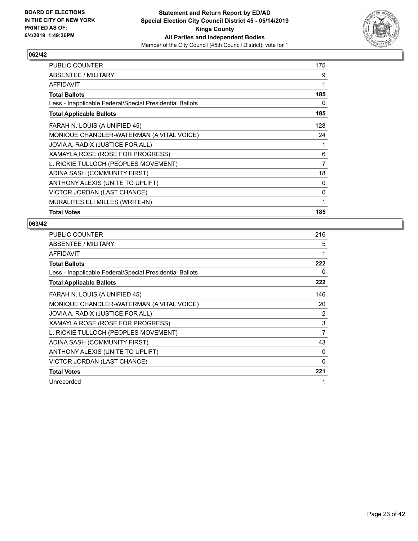

| PUBLIC COUNTER                                           | 175            |
|----------------------------------------------------------|----------------|
| ABSENTEE / MILITARY                                      | 9              |
| <b>AFFIDAVIT</b>                                         | 1              |
| <b>Total Ballots</b>                                     | 185            |
| Less - Inapplicable Federal/Special Presidential Ballots | 0              |
| <b>Total Applicable Ballots</b>                          | 185            |
| FARAH N. LOUIS (A UNIFIED 45)                            | 128            |
| MONIQUE CHANDLER-WATERMAN (A VITAL VOICE)                | 24             |
| JOVIA A. RADIX (JUSTICE FOR ALL)                         | 1              |
| XAMAYLA ROSE (ROSE FOR PROGRESS)                         | 6              |
| L. RICKIE TULLOCH (PEOPLES MOVEMENT)                     | $\overline{7}$ |
| ADINA SASH (COMMUNITY FIRST)                             | 18             |
| ANTHONY ALEXIS (UNITE TO UPLIFT)                         | $\Omega$       |
| VICTOR JORDAN (LAST CHANCE)                              | 0              |
| MURALITES ELI MILLES (WRITE-IN)                          | 1              |
| <b>Total Votes</b>                                       | 185            |

| PUBLIC COUNTER                                           | 216 |
|----------------------------------------------------------|-----|
| ABSENTEE / MILITARY                                      | 5   |
| AFFIDAVIT                                                | 1   |
| <b>Total Ballots</b>                                     | 222 |
| Less - Inapplicable Federal/Special Presidential Ballots | 0   |
| <b>Total Applicable Ballots</b>                          | 222 |
| FARAH N. LOUIS (A UNIFIED 45)                            | 146 |
| MONIQUE CHANDLER-WATERMAN (A VITAL VOICE)                | 20  |
| JOVIA A. RADIX (JUSTICE FOR ALL)                         | 2   |
| XAMAYLA ROSE (ROSE FOR PROGRESS)                         | 3   |
| L. RICKIE TULLOCH (PEOPLES MOVEMENT)                     | 7   |
| ADINA SASH (COMMUNITY FIRST)                             | 43  |
| ANTHONY ALEXIS (UNITE TO UPLIFT)                         | 0   |
| VICTOR JORDAN (LAST CHANCE)                              | 0   |
| <b>Total Votes</b>                                       | 221 |
| Unrecorded                                               | 1   |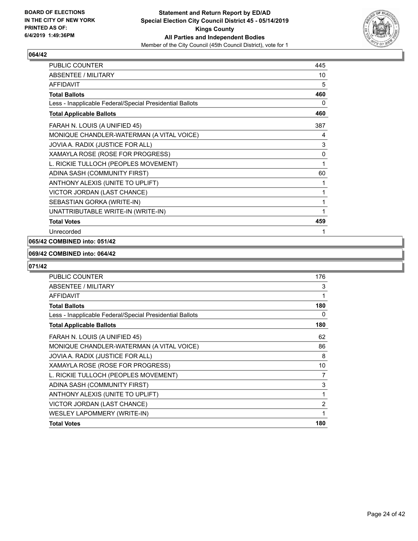

| <b>PUBLIC COUNTER</b>                                    | 445 |
|----------------------------------------------------------|-----|
| <b>ABSENTEE / MILITARY</b>                               | 10  |
| <b>AFFIDAVIT</b>                                         | 5   |
| <b>Total Ballots</b>                                     | 460 |
| Less - Inapplicable Federal/Special Presidential Ballots | 0   |
| <b>Total Applicable Ballots</b>                          | 460 |
| FARAH N. LOUIS (A UNIFIED 45)                            | 387 |
| MONIQUE CHANDLER-WATERMAN (A VITAL VOICE)                | 4   |
| JOVIA A. RADIX (JUSTICE FOR ALL)                         | 3   |
| XAMAYLA ROSE (ROSE FOR PROGRESS)                         | 0   |
| L. RICKIE TULLOCH (PEOPLES MOVEMENT)                     | 1   |
| ADINA SASH (COMMUNITY FIRST)                             | 60  |
| ANTHONY ALEXIS (UNITE TO UPLIFT)                         | 1   |
| VICTOR JORDAN (LAST CHANCE)                              | 1   |
| SEBASTIAN GORKA (WRITE-IN)                               | 1   |
| UNATTRIBUTABLE WRITE-IN (WRITE-IN)                       | 1   |
| <b>Total Votes</b>                                       | 459 |
| Unrecorded                                               |     |

## **065/42 COMBINED into: 051/42**

#### **069/42 COMBINED into: 064/42**

| PUBLIC COUNTER                                           | 176            |
|----------------------------------------------------------|----------------|
| <b>ABSENTEE / MILITARY</b>                               | 3              |
| <b>AFFIDAVIT</b>                                         |                |
| <b>Total Ballots</b>                                     | 180            |
| Less - Inapplicable Federal/Special Presidential Ballots | 0              |
| <b>Total Applicable Ballots</b>                          | 180            |
| FARAH N. LOUIS (A UNIFIED 45)                            | 62             |
| MONIQUE CHANDLER-WATERMAN (A VITAL VOICE)                | 86             |
| JOVIA A. RADIX (JUSTICE FOR ALL)                         | 8              |
| XAMAYLA ROSE (ROSE FOR PROGRESS)                         | 10             |
| L. RICKIE TULLOCH (PEOPLES MOVEMENT)                     | 7              |
| ADINA SASH (COMMUNITY FIRST)                             | 3              |
| ANTHONY ALEXIS (UNITE TO UPLIFT)                         | 1              |
| VICTOR JORDAN (LAST CHANCE)                              | $\overline{2}$ |
| WESLEY LAPOMMERY (WRITE-IN)                              | 1              |
| <b>Total Votes</b>                                       | 180            |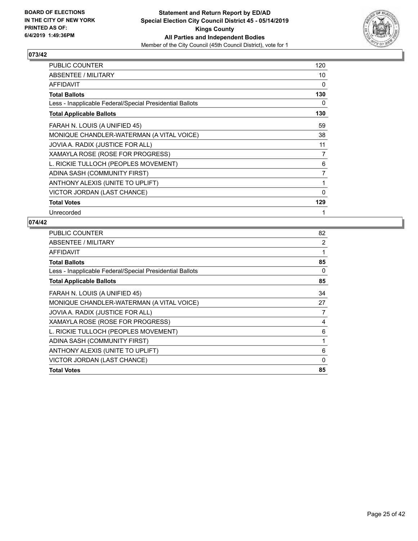

| PUBLIC COUNTER                                           | 120 |
|----------------------------------------------------------|-----|
| ABSENTEE / MILITARY                                      | 10  |
| <b>AFFIDAVIT</b>                                         | 0   |
| <b>Total Ballots</b>                                     | 130 |
| Less - Inapplicable Federal/Special Presidential Ballots | 0   |
| <b>Total Applicable Ballots</b>                          | 130 |
| FARAH N. LOUIS (A UNIFIED 45)                            | 59  |
| MONIQUE CHANDLER-WATERMAN (A VITAL VOICE)                | 38  |
| JOVIA A. RADIX (JUSTICE FOR ALL)                         | 11  |
| XAMAYLA ROSE (ROSE FOR PROGRESS)                         | 7   |
| L. RICKIE TULLOCH (PEOPLES MOVEMENT)                     | 6   |
| ADINA SASH (COMMUNITY FIRST)                             | 7   |
| ANTHONY ALEXIS (UNITE TO UPLIFT)                         | 1   |
| VICTOR JORDAN (LAST CHANCE)                              | 0   |
| <b>Total Votes</b>                                       | 129 |
| Unrecorded                                               | 1   |

| PUBLIC COUNTER                                           | 82 |
|----------------------------------------------------------|----|
| ABSENTEE / MILITARY                                      | 2  |
| <b>AFFIDAVIT</b>                                         | 1  |
| <b>Total Ballots</b>                                     | 85 |
| Less - Inapplicable Federal/Special Presidential Ballots | 0  |
| <b>Total Applicable Ballots</b>                          | 85 |
| FARAH N. LOUIS (A UNIFIED 45)                            | 34 |
| MONIQUE CHANDLER-WATERMAN (A VITAL VOICE)                | 27 |
| JOVIA A. RADIX (JUSTICE FOR ALL)                         | 7  |
| XAMAYLA ROSE (ROSE FOR PROGRESS)                         | 4  |
| L. RICKIE TULLOCH (PEOPLES MOVEMENT)                     | 6  |
| ADINA SASH (COMMUNITY FIRST)                             | 1  |
| ANTHONY ALEXIS (UNITE TO UPLIFT)                         | 6  |
| VICTOR JORDAN (LAST CHANCE)                              | 0  |
| <b>Total Votes</b>                                       | 85 |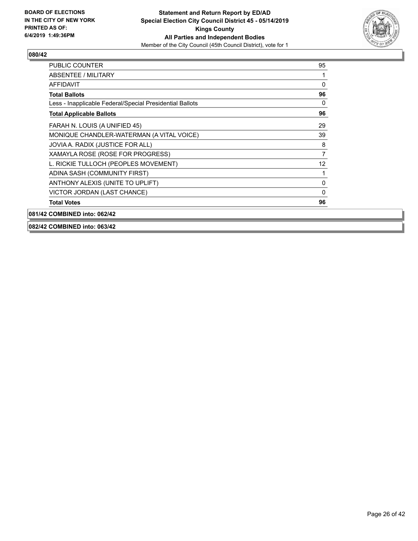

| <b>PUBLIC COUNTER</b>                                    | 95           |
|----------------------------------------------------------|--------------|
| <b>ABSENTEE / MILITARY</b>                               | 1            |
| <b>AFFIDAVIT</b>                                         | 0            |
| <b>Total Ballots</b>                                     | 96           |
| Less - Inapplicable Federal/Special Presidential Ballots | $\Omega$     |
| <b>Total Applicable Ballots</b>                          | 96           |
| FARAH N. LOUIS (A UNIFIED 45)                            | 29           |
| MONIQUE CHANDLER-WATERMAN (A VITAL VOICE)                | 39           |
| JOVIA A. RADIX (JUSTICE FOR ALL)                         | 8            |
| XAMAYLA ROSE (ROSE FOR PROGRESS)                         | 7            |
| L. RICKIE TULLOCH (PEOPLES MOVEMENT)                     | 12           |
| ADINA SASH (COMMUNITY FIRST)                             | 1            |
| ANTHONY ALEXIS (UNITE TO UPLIFT)                         | $\Omega$     |
| VICTOR JORDAN (LAST CHANCE)                              | $\mathbf{0}$ |
| <b>Total Votes</b>                                       | 96           |
| 081/42 COMBINED into: 062/42                             |              |

**082/42 COMBINED into: 063/42**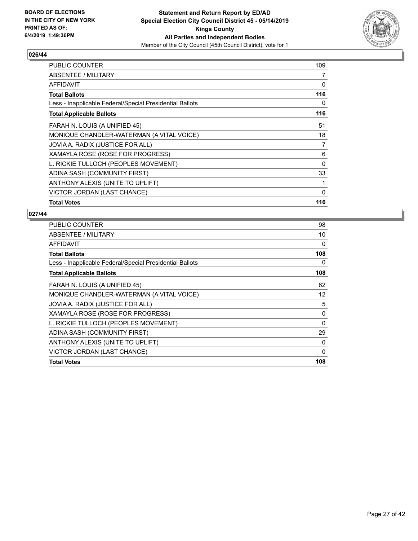

| <b>PUBLIC COUNTER</b>                                    | 109 |
|----------------------------------------------------------|-----|
| ABSENTEE / MILITARY                                      | 7   |
| AFFIDAVIT                                                | 0   |
| <b>Total Ballots</b>                                     | 116 |
| Less - Inapplicable Federal/Special Presidential Ballots | 0   |
| <b>Total Applicable Ballots</b>                          | 116 |
| FARAH N. LOUIS (A UNIFIED 45)                            | 51  |
| MONIQUE CHANDLER-WATERMAN (A VITAL VOICE)                | 18  |
| JOVIA A. RADIX (JUSTICE FOR ALL)                         | 7   |
| XAMAYLA ROSE (ROSE FOR PROGRESS)                         | 6   |
| L. RICKIE TULLOCH (PEOPLES MOVEMENT)                     | 0   |
| ADINA SASH (COMMUNITY FIRST)                             | 33  |
| ANTHONY ALEXIS (UNITE TO UPLIFT)                         | 1   |
| VICTOR JORDAN (LAST CHANCE)                              | 0   |
| <b>Total Votes</b>                                       | 116 |

| PUBLIC COUNTER                                           | 98       |
|----------------------------------------------------------|----------|
| ABSENTEE / MILITARY                                      | 10       |
| AFFIDAVIT                                                | 0        |
| <b>Total Ballots</b>                                     | 108      |
| Less - Inapplicable Federal/Special Presidential Ballots | 0        |
| <b>Total Applicable Ballots</b>                          | 108      |
| FARAH N. LOUIS (A UNIFIED 45)                            | 62       |
| MONIQUE CHANDLER-WATERMAN (A VITAL VOICE)                | 12       |
| JOVIA A. RADIX (JUSTICE FOR ALL)                         | 5        |
| XAMAYLA ROSE (ROSE FOR PROGRESS)                         | 0        |
| L. RICKIE TULLOCH (PEOPLES MOVEMENT)                     | $\Omega$ |
| ADINA SASH (COMMUNITY FIRST)                             | 29       |
| ANTHONY ALEXIS (UNITE TO UPLIFT)                         | 0        |
| VICTOR JORDAN (LAST CHANCE)                              | 0        |
| <b>Total Votes</b>                                       | 108      |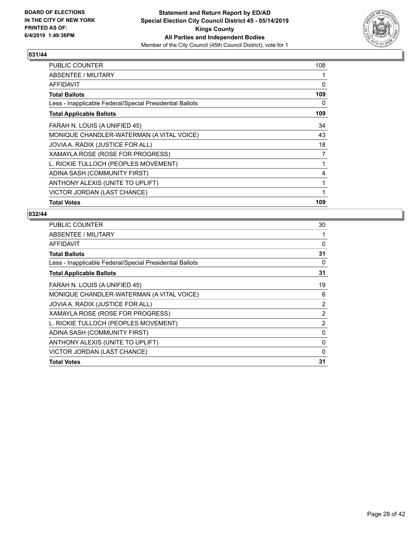

| <b>PUBLIC COUNTER</b>                                    | 108 |
|----------------------------------------------------------|-----|
| ABSENTEE / MILITARY                                      |     |
| AFFIDAVIT                                                | 0   |
| <b>Total Ballots</b>                                     | 109 |
| Less - Inapplicable Federal/Special Presidential Ballots | 0   |
| <b>Total Applicable Ballots</b>                          | 109 |
| FARAH N. LOUIS (A UNIFIED 45)                            | 34  |
| MONIQUE CHANDLER-WATERMAN (A VITAL VOICE)                | 43  |
| JOVIA A. RADIX (JUSTICE FOR ALL)                         | 18  |
| XAMAYLA ROSE (ROSE FOR PROGRESS)                         | 7   |
| L. RICKIE TULLOCH (PEOPLES MOVEMENT)                     | 1   |
| ADINA SASH (COMMUNITY FIRST)                             | 4   |
| ANTHONY ALEXIS (UNITE TO UPLIFT)                         | 1   |
| VICTOR JORDAN (LAST CHANCE)                              | 1   |
| <b>Total Votes</b>                                       | 109 |

| PUBLIC COUNTER                                           | 30       |
|----------------------------------------------------------|----------|
| ABSENTEE / MILITARY                                      | 1        |
| <b>AFFIDAVIT</b>                                         | 0        |
| <b>Total Ballots</b>                                     | 31       |
| Less - Inapplicable Federal/Special Presidential Ballots | 0        |
| <b>Total Applicable Ballots</b>                          | 31       |
| FARAH N. LOUIS (A UNIFIED 45)                            | 19       |
| MONIQUE CHANDLER-WATERMAN (A VITAL VOICE)                | 6        |
| JOVIA A. RADIX (JUSTICE FOR ALL)                         | 2        |
| XAMAYLA ROSE (ROSE FOR PROGRESS)                         | 2        |
| L. RICKIE TULLOCH (PEOPLES MOVEMENT)                     | 2        |
| ADINA SASH (COMMUNITY FIRST)                             | 0        |
| ANTHONY ALEXIS (UNITE TO UPLIFT)                         | 0        |
| VICTOR JORDAN (LAST CHANCE)                              | $\Omega$ |
| <b>Total Votes</b>                                       | 31       |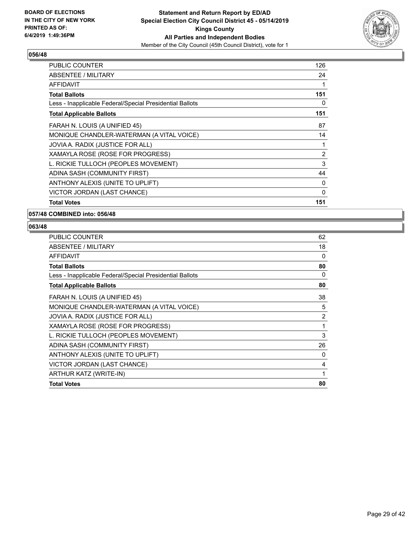

| <b>PUBLIC COUNTER</b>                                    | 126            |
|----------------------------------------------------------|----------------|
| ABSENTEE / MILITARY                                      | 24             |
| <b>AFFIDAVIT</b>                                         |                |
| <b>Total Ballots</b>                                     | 151            |
| Less - Inapplicable Federal/Special Presidential Ballots | 0              |
| <b>Total Applicable Ballots</b>                          | 151            |
| FARAH N. LOUIS (A UNIFIED 45)                            | 87             |
| MONIQUE CHANDLER-WATERMAN (A VITAL VOICE)                | 14             |
| JOVIA A. RADIX (JUSTICE FOR ALL)                         | 1              |
| XAMAYLA ROSE (ROSE FOR PROGRESS)                         | $\overline{2}$ |
| L. RICKIE TULLOCH (PEOPLES MOVEMENT)                     | 3              |
| ADINA SASH (COMMUNITY FIRST)                             | 44             |
| ANTHONY ALEXIS (UNITE TO UPLIFT)                         | 0              |
| VICTOR JORDAN (LAST CHANCE)                              | 0              |
| <b>Total Votes</b>                                       | 151            |

**057/48 COMBINED into: 056/48**

| <b>PUBLIC COUNTER</b>                                    | 62       |
|----------------------------------------------------------|----------|
| ABSENTEE / MILITARY                                      | 18       |
| <b>AFFIDAVIT</b>                                         | 0        |
| <b>Total Ballots</b>                                     | 80       |
| Less - Inapplicable Federal/Special Presidential Ballots | $\Omega$ |
| <b>Total Applicable Ballots</b>                          | 80       |
| FARAH N. LOUIS (A UNIFIED 45)                            | 38       |
| MONIQUE CHANDLER-WATERMAN (A VITAL VOICE)                | 5        |
| JOVIA A. RADIX (JUSTICE FOR ALL)                         | 2        |
| XAMAYLA ROSE (ROSE FOR PROGRESS)                         | 1        |
| L. RICKIE TULLOCH (PEOPLES MOVEMENT)                     | 3        |
| ADINA SASH (COMMUNITY FIRST)                             | 26       |
| ANTHONY ALEXIS (UNITE TO UPLIFT)                         | $\Omega$ |
| VICTOR JORDAN (LAST CHANCE)                              | 4        |
| ARTHUR KATZ (WRITE-IN)                                   | 1        |
| <b>Total Votes</b>                                       | 80       |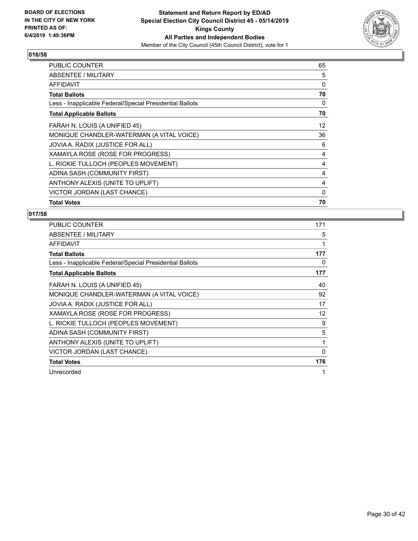

| <b>PUBLIC COUNTER</b>                                    | 65 |
|----------------------------------------------------------|----|
| ABSENTEE / MILITARY                                      | 5  |
| <b>AFFIDAVIT</b>                                         | 0  |
| <b>Total Ballots</b>                                     | 70 |
| Less - Inapplicable Federal/Special Presidential Ballots | 0  |
| <b>Total Applicable Ballots</b>                          | 70 |
| FARAH N. LOUIS (A UNIFIED 45)                            | 12 |
| MONIQUE CHANDLER-WATERMAN (A VITAL VOICE)                | 36 |
| JOVIA A. RADIX (JUSTICE FOR ALL)                         | 6  |
| XAMAYLA ROSE (ROSE FOR PROGRESS)                         | 4  |
| L. RICKIE TULLOCH (PEOPLES MOVEMENT)                     | 4  |
| ADINA SASH (COMMUNITY FIRST)                             | 4  |
| ANTHONY ALEXIS (UNITE TO UPLIFT)                         | 4  |
| VICTOR JORDAN (LAST CHANCE)                              | 0  |
| <b>Total Votes</b>                                       | 70 |

| PUBLIC COUNTER                                           | 171 |
|----------------------------------------------------------|-----|
| ABSENTEE / MILITARY                                      | 5   |
| <b>AFFIDAVIT</b>                                         | 1   |
| <b>Total Ballots</b>                                     | 177 |
| Less - Inapplicable Federal/Special Presidential Ballots | 0   |
| <b>Total Applicable Ballots</b>                          | 177 |
| FARAH N. LOUIS (A UNIFIED 45)                            | 40  |
| MONIQUE CHANDLER-WATERMAN (A VITAL VOICE)                | 92  |
| JOVIA A. RADIX (JUSTICE FOR ALL)                         | 17  |
| XAMAYLA ROSE (ROSE FOR PROGRESS)                         | 12  |
| L. RICKIE TULLOCH (PEOPLES MOVEMENT)                     | 9   |
| ADINA SASH (COMMUNITY FIRST)                             | 5   |
| ANTHONY ALEXIS (UNITE TO UPLIFT)                         | 1   |
| VICTOR JORDAN (LAST CHANCE)                              | 0   |
| <b>Total Votes</b>                                       | 176 |
| Unrecorded                                               | 1   |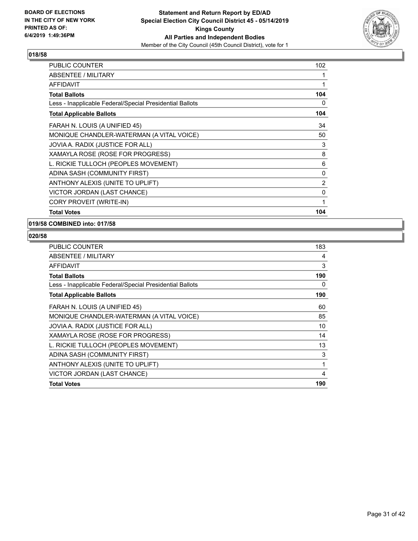

| PUBLIC COUNTER                                           | 102 |
|----------------------------------------------------------|-----|
| <b>ABSENTEE / MILITARY</b>                               | 1   |
| <b>AFFIDAVIT</b>                                         | 1   |
| <b>Total Ballots</b>                                     | 104 |
| Less - Inapplicable Federal/Special Presidential Ballots | 0   |
| <b>Total Applicable Ballots</b>                          | 104 |
| FARAH N. LOUIS (A UNIFIED 45)                            | 34  |
| MONIQUE CHANDLER-WATERMAN (A VITAL VOICE)                | 50  |
| JOVIA A. RADIX (JUSTICE FOR ALL)                         | 3   |
| XAMAYLA ROSE (ROSE FOR PROGRESS)                         | 8   |
| L. RICKIE TULLOCH (PEOPLES MOVEMENT)                     | 6   |
| ADINA SASH (COMMUNITY FIRST)                             | 0   |
| ANTHONY ALEXIS (UNITE TO UPLIFT)                         | 2   |
| VICTOR JORDAN (LAST CHANCE)                              | 0   |
| CORY PROVEIT (WRITE-IN)                                  | 1   |
| <b>Total Votes</b>                                       | 104 |

#### **019/58 COMBINED into: 017/58**

| <b>PUBLIC COUNTER</b>                                    | 183 |
|----------------------------------------------------------|-----|
| ABSENTEE / MILITARY                                      | 4   |
| AFFIDAVIT                                                | 3   |
| <b>Total Ballots</b>                                     | 190 |
| Less - Inapplicable Federal/Special Presidential Ballots | 0   |
| <b>Total Applicable Ballots</b>                          | 190 |
| FARAH N. LOUIS (A UNIFIED 45)                            | 60  |
| MONIQUE CHANDLER-WATERMAN (A VITAL VOICE)                | 85  |
| JOVIA A. RADIX (JUSTICE FOR ALL)                         | 10  |
| XAMAYLA ROSE (ROSE FOR PROGRESS)                         | 14  |
| L. RICKIE TULLOCH (PEOPLES MOVEMENT)                     | 13  |
| ADINA SASH (COMMUNITY FIRST)                             | 3   |
| ANTHONY ALEXIS (UNITE TO UPLIFT)                         | 1   |
| VICTOR JORDAN (LAST CHANCE)                              | 4   |
| <b>Total Votes</b>                                       | 190 |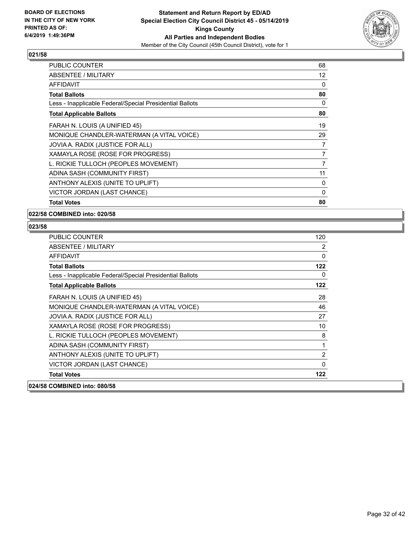

| <b>PUBLIC COUNTER</b>                                    | 68 |
|----------------------------------------------------------|----|
| ABSENTEE / MILITARY                                      | 12 |
| <b>AFFIDAVIT</b>                                         | 0  |
| <b>Total Ballots</b>                                     | 80 |
| Less - Inapplicable Federal/Special Presidential Ballots | 0  |
| <b>Total Applicable Ballots</b>                          | 80 |
| FARAH N. LOUIS (A UNIFIED 45)                            | 19 |
| MONIQUE CHANDLER-WATERMAN (A VITAL VOICE)                | 29 |
| JOVIA A. RADIX (JUSTICE FOR ALL)                         | 7  |
| XAMAYLA ROSE (ROSE FOR PROGRESS)                         | 7  |
| L. RICKIE TULLOCH (PEOPLES MOVEMENT)                     | 7  |
| ADINA SASH (COMMUNITY FIRST)                             | 11 |
| ANTHONY ALEXIS (UNITE TO UPLIFT)                         | 0  |
| VICTOR JORDAN (LAST CHANCE)                              | 0  |
| <b>Total Votes</b>                                       | 80 |

**022/58 COMBINED into: 020/58**

| <b>PUBLIC COUNTER</b>                                    | 120      |
|----------------------------------------------------------|----------|
| <b>ABSENTEE / MILITARY</b>                               | 2        |
| <b>AFFIDAVIT</b>                                         | 0        |
| <b>Total Ballots</b>                                     | 122      |
| Less - Inapplicable Federal/Special Presidential Ballots | $\Omega$ |
| <b>Total Applicable Ballots</b>                          | 122      |
| FARAH N. LOUIS (A UNIFIED 45)                            | 28       |
| MONIQUE CHANDLER-WATERMAN (A VITAL VOICE)                | 46       |
| JOVIA A. RADIX (JUSTICE FOR ALL)                         | 27       |
| XAMAYLA ROSE (ROSE FOR PROGRESS)                         | 10       |
| L. RICKIE TULLOCH (PEOPLES MOVEMENT)                     | 8        |
| ADINA SASH (COMMUNITY FIRST)                             | 1        |
| ANTHONY ALEXIS (UNITE TO UPLIFT)                         | 2        |
| VICTOR JORDAN (LAST CHANCE)                              | 0        |
| <b>Total Votes</b>                                       | 122      |
| 024/58 COMBINED into: 080/58                             |          |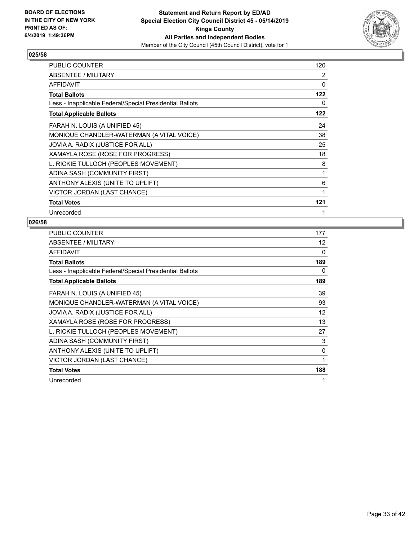

| PUBLIC COUNTER                                           | 120 |
|----------------------------------------------------------|-----|
| ABSENTEE / MILITARY                                      | 2   |
| <b>AFFIDAVIT</b>                                         | 0   |
| <b>Total Ballots</b>                                     | 122 |
| Less - Inapplicable Federal/Special Presidential Ballots | 0   |
| <b>Total Applicable Ballots</b>                          | 122 |
| FARAH N. LOUIS (A UNIFIED 45)                            | 24  |
| MONIQUE CHANDLER-WATERMAN (A VITAL VOICE)                | 38  |
| JOVIA A. RADIX (JUSTICE FOR ALL)                         | 25  |
| XAMAYLA ROSE (ROSE FOR PROGRESS)                         | 18  |
| L. RICKIE TULLOCH (PEOPLES MOVEMENT)                     | 8   |
| ADINA SASH (COMMUNITY FIRST)                             | 1   |
| ANTHONY ALEXIS (UNITE TO UPLIFT)                         | 6   |
| VICTOR JORDAN (LAST CHANCE)                              | 1   |
| <b>Total Votes</b>                                       | 121 |
| Unrecorded                                               |     |

| <b>PUBLIC COUNTER</b>                                    | 177 |
|----------------------------------------------------------|-----|
| ABSENTEE / MILITARY                                      | 12  |
| AFFIDAVIT                                                | 0   |
| <b>Total Ballots</b>                                     | 189 |
| Less - Inapplicable Federal/Special Presidential Ballots | 0   |
| <b>Total Applicable Ballots</b>                          | 189 |
| FARAH N. LOUIS (A UNIFIED 45)                            | 39  |
| MONIQUE CHANDLER-WATERMAN (A VITAL VOICE)                | 93  |
| JOVIA A. RADIX (JUSTICE FOR ALL)                         | 12  |
| XAMAYLA ROSE (ROSE FOR PROGRESS)                         | 13  |
| L. RICKIE TULLOCH (PEOPLES MOVEMENT)                     | 27  |
| ADINA SASH (COMMUNITY FIRST)                             | 3   |
| ANTHONY ALEXIS (UNITE TO UPLIFT)                         | 0   |
| VICTOR JORDAN (LAST CHANCE)                              | 1   |
| <b>Total Votes</b>                                       | 188 |
| Unrecorded                                               | 1   |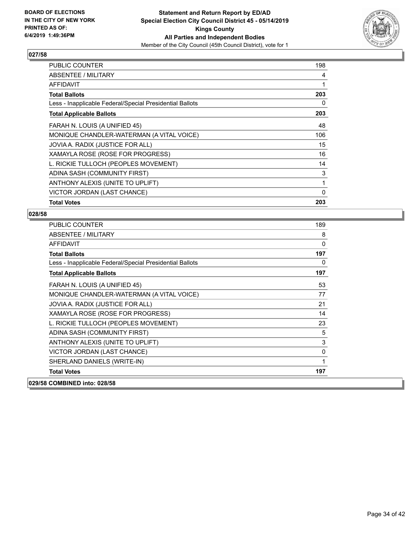

| <b>PUBLIC COUNTER</b>                                    | 198          |
|----------------------------------------------------------|--------------|
| ABSENTEE / MILITARY                                      | 4            |
| <b>AFFIDAVIT</b>                                         | 1            |
| <b>Total Ballots</b>                                     | 203          |
| Less - Inapplicable Federal/Special Presidential Ballots | 0            |
| <b>Total Applicable Ballots</b>                          | 203          |
| FARAH N. LOUIS (A UNIFIED 45)                            | 48           |
| MONIQUE CHANDLER-WATERMAN (A VITAL VOICE)                | 106          |
| JOVIA A. RADIX (JUSTICE FOR ALL)                         | 15           |
| XAMAYLA ROSE (ROSE FOR PROGRESS)                         | 16           |
| L. RICKIE TULLOCH (PEOPLES MOVEMENT)                     | 14           |
| ADINA SASH (COMMUNITY FIRST)                             | 3            |
| ANTHONY ALEXIS (UNITE TO UPLIFT)                         | 1            |
| VICTOR JORDAN (LAST CHANCE)                              | $\mathbf{0}$ |
| <b>Total Votes</b>                                       | 203          |

| PUBLIC COUNTER                                           | 189 |
|----------------------------------------------------------|-----|
| <b>ABSENTEE / MILITARY</b>                               | 8   |
| <b>AFFIDAVIT</b>                                         | 0   |
| <b>Total Ballots</b>                                     | 197 |
| Less - Inapplicable Federal/Special Presidential Ballots | 0   |
| <b>Total Applicable Ballots</b>                          | 197 |
| FARAH N. LOUIS (A UNIFIED 45)                            | 53  |
| MONIQUE CHANDLER-WATERMAN (A VITAL VOICE)                | 77  |
| JOVIA A. RADIX (JUSTICE FOR ALL)                         | 21  |
| XAMAYLA ROSE (ROSE FOR PROGRESS)                         | 14  |
| L. RICKIE TULLOCH (PEOPLES MOVEMENT)                     | 23  |
| ADINA SASH (COMMUNITY FIRST)                             | 5   |
| ANTHONY ALEXIS (UNITE TO UPLIFT)                         | 3   |
| VICTOR JORDAN (LAST CHANCE)                              | 0   |
| SHERLAND DANIELS (WRITE-IN)                              | 1   |
| <b>Total Votes</b>                                       | 197 |
| 029/58 COMBINED into: 028/58                             |     |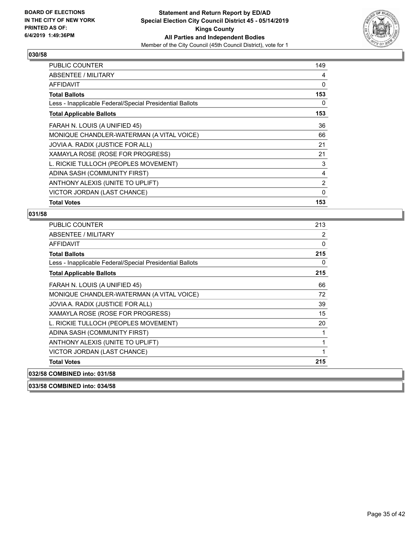

| <b>PUBLIC COUNTER</b>                                    | 149      |
|----------------------------------------------------------|----------|
| ABSENTEE / MILITARY                                      | 4        |
| <b>AFFIDAVIT</b>                                         | 0        |
| <b>Total Ballots</b>                                     | 153      |
| Less - Inapplicable Federal/Special Presidential Ballots | 0        |
| <b>Total Applicable Ballots</b>                          | 153      |
| FARAH N. LOUIS (A UNIFIED 45)                            | 36       |
| MONIQUE CHANDLER-WATERMAN (A VITAL VOICE)                | 66       |
| JOVIA A. RADIX (JUSTICE FOR ALL)                         | 21       |
| XAMAYLA ROSE (ROSE FOR PROGRESS)                         | 21       |
| L. RICKIE TULLOCH (PEOPLES MOVEMENT)                     | 3        |
| ADINA SASH (COMMUNITY FIRST)                             | 4        |
| ANTHONY ALEXIS (UNITE TO UPLIFT)                         | 2        |
| VICTOR JORDAN (LAST CHANCE)                              | $\Omega$ |
| <b>Total Votes</b>                                       | 153      |

#### **031/58**

| PUBLIC COUNTER                                           | 213 |
|----------------------------------------------------------|-----|
| ABSENTEE / MILITARY                                      | 2   |
| <b>AFFIDAVIT</b>                                         | 0   |
| <b>Total Ballots</b>                                     | 215 |
| Less - Inapplicable Federal/Special Presidential Ballots | 0   |
| <b>Total Applicable Ballots</b>                          | 215 |
| FARAH N. LOUIS (A UNIFIED 45)                            | 66  |
| MONIQUE CHANDLER-WATERMAN (A VITAL VOICE)                | 72  |
| JOVIA A. RADIX (JUSTICE FOR ALL)                         | 39  |
| XAMAYLA ROSE (ROSE FOR PROGRESS)                         | 15  |
| L. RICKIE TULLOCH (PEOPLES MOVEMENT)                     | 20  |
| ADINA SASH (COMMUNITY FIRST)                             |     |
| ANTHONY ALEXIS (UNITE TO UPLIFT)                         | 1   |
| VICTOR JORDAN (LAST CHANCE)                              |     |
| <b>Total Votes</b>                                       | 215 |
| 032/58 COMBINED into: 031/58                             |     |

**033/58 COMBINED into: 034/58**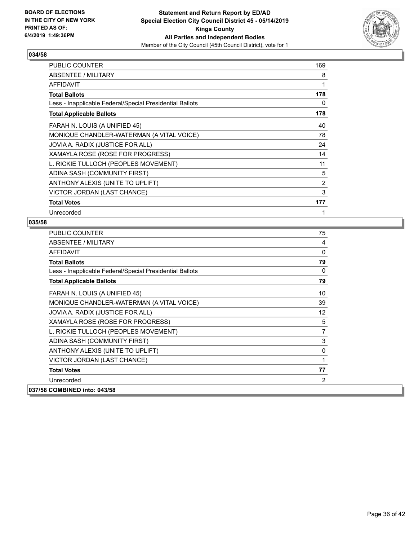

| PUBLIC COUNTER                                           | 169 |
|----------------------------------------------------------|-----|
| ABSENTEE / MILITARY                                      | 8   |
| <b>AFFIDAVIT</b>                                         | 1   |
| <b>Total Ballots</b>                                     | 178 |
| Less - Inapplicable Federal/Special Presidential Ballots | 0   |
| <b>Total Applicable Ballots</b>                          | 178 |
| FARAH N. LOUIS (A UNIFIED 45)                            | 40  |
| MONIQUE CHANDLER-WATERMAN (A VITAL VOICE)                | 78  |
| JOVIA A. RADIX (JUSTICE FOR ALL)                         | 24  |
| XAMAYLA ROSE (ROSE FOR PROGRESS)                         | 14  |
| L. RICKIE TULLOCH (PEOPLES MOVEMENT)                     | 11  |
| ADINA SASH (COMMUNITY FIRST)                             | 5   |
| ANTHONY ALEXIS (UNITE TO UPLIFT)                         | 2   |
| VICTOR JORDAN (LAST CHANCE)                              | 3   |
| <b>Total Votes</b>                                       | 177 |
| Unrecorded                                               | 1   |

| <b>PUBLIC COUNTER</b>                                    | 75              |
|----------------------------------------------------------|-----------------|
| <b>ABSENTEE / MILITARY</b>                               | 4               |
| <b>AFFIDAVIT</b>                                         | 0               |
| <b>Total Ballots</b>                                     | 79              |
| Less - Inapplicable Federal/Special Presidential Ballots | 0               |
| <b>Total Applicable Ballots</b>                          | 79              |
| FARAH N. LOUIS (A UNIFIED 45)                            | 10              |
| MONIQUE CHANDLER-WATERMAN (A VITAL VOICE)                | 39              |
| JOVIA A. RADIX (JUSTICE FOR ALL)                         | 12 <sup>°</sup> |
| XAMAYLA ROSE (ROSE FOR PROGRESS)                         | 5               |
| L. RICKIE TULLOCH (PEOPLES MOVEMENT)                     | 7               |
| ADINA SASH (COMMUNITY FIRST)                             | 3               |
| ANTHONY ALEXIS (UNITE TO UPLIFT)                         | 0               |
| VICTOR JORDAN (LAST CHANCE)                              | 1               |
| <b>Total Votes</b>                                       | 77              |
| Unrecorded                                               | 2               |
| 037/58 COMBINED into: 043/58                             |                 |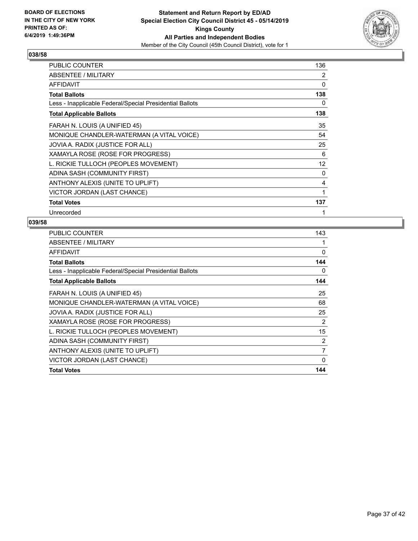

| <b>PUBLIC COUNTER</b>                                    | 136               |
|----------------------------------------------------------|-------------------|
| ABSENTEE / MILITARY                                      | 2                 |
| <b>AFFIDAVIT</b>                                         | 0                 |
| <b>Total Ballots</b>                                     | 138               |
| Less - Inapplicable Federal/Special Presidential Ballots | 0                 |
| <b>Total Applicable Ballots</b>                          | 138               |
| FARAH N. LOUIS (A UNIFIED 45)                            | 35                |
| MONIQUE CHANDLER-WATERMAN (A VITAL VOICE)                | 54                |
| JOVIA A. RADIX (JUSTICE FOR ALL)                         | 25                |
| XAMAYLA ROSE (ROSE FOR PROGRESS)                         | 6                 |
| L. RICKIE TULLOCH (PEOPLES MOVEMENT)                     | $12 \overline{ }$ |
| ADINA SASH (COMMUNITY FIRST)                             | 0                 |
| ANTHONY ALEXIS (UNITE TO UPLIFT)                         | 4                 |
| VICTOR JORDAN (LAST CHANCE)                              | 1                 |
| <b>Total Votes</b>                                       | 137               |
| Unrecorded                                               | 1                 |

| PUBLIC COUNTER                                           | 143 |
|----------------------------------------------------------|-----|
| ABSENTEE / MILITARY                                      | 1   |
| AFFIDAVIT                                                | 0   |
| <b>Total Ballots</b>                                     | 144 |
| Less - Inapplicable Federal/Special Presidential Ballots | 0   |
| <b>Total Applicable Ballots</b>                          | 144 |
| FARAH N. LOUIS (A UNIFIED 45)                            | 25  |
| MONIQUE CHANDLER-WATERMAN (A VITAL VOICE)                | 68  |
| JOVIA A. RADIX (JUSTICE FOR ALL)                         | 25  |
| XAMAYLA ROSE (ROSE FOR PROGRESS)                         | 2   |
| L. RICKIE TULLOCH (PEOPLES MOVEMENT)                     | 15  |
| ADINA SASH (COMMUNITY FIRST)                             | 2   |
| ANTHONY ALEXIS (UNITE TO UPLIFT)                         | 7   |
| VICTOR JORDAN (LAST CHANCE)                              | 0   |
| <b>Total Votes</b>                                       | 144 |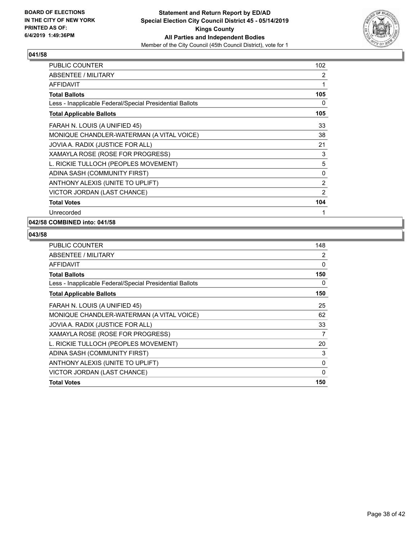

| <b>PUBLIC COUNTER</b>                                    | 102 |
|----------------------------------------------------------|-----|
| <b>ABSENTEE / MILITARY</b>                               | 2   |
| <b>AFFIDAVIT</b>                                         | 1   |
| <b>Total Ballots</b>                                     | 105 |
| Less - Inapplicable Federal/Special Presidential Ballots | 0   |
| <b>Total Applicable Ballots</b>                          | 105 |
| FARAH N. LOUIS (A UNIFIED 45)                            | 33  |
| MONIQUE CHANDLER-WATERMAN (A VITAL VOICE)                | 38  |
| JOVIA A. RADIX (JUSTICE FOR ALL)                         | 21  |
| XAMAYLA ROSE (ROSE FOR PROGRESS)                         | 3   |
| L. RICKIE TULLOCH (PEOPLES MOVEMENT)                     | 5   |
| ADINA SASH (COMMUNITY FIRST)                             | 0   |
| ANTHONY ALEXIS (UNITE TO UPLIFT)                         | 2   |
| VICTOR JORDAN (LAST CHANCE)                              | 2   |
| <b>Total Votes</b>                                       | 104 |
| Unrecorded                                               | 1   |

# **042/58 COMBINED into: 041/58**

| <b>PUBLIC COUNTER</b>                                    | 148      |
|----------------------------------------------------------|----------|
| ABSENTEE / MILITARY                                      | 2        |
| <b>AFFIDAVIT</b>                                         | $\Omega$ |
| <b>Total Ballots</b>                                     | 150      |
| Less - Inapplicable Federal/Special Presidential Ballots | $\Omega$ |
| <b>Total Applicable Ballots</b>                          | 150      |
| FARAH N. LOUIS (A UNIFIED 45)                            | 25       |
| MONIQUE CHANDLER-WATERMAN (A VITAL VOICE)                | 62       |
| JOVIA A. RADIX (JUSTICE FOR ALL)                         | 33       |
| XAMAYLA ROSE (ROSE FOR PROGRESS)                         | 7        |
| L. RICKIE TULLOCH (PEOPLES MOVEMENT)                     | 20       |
| ADINA SASH (COMMUNITY FIRST)                             | 3        |
| ANTHONY ALEXIS (UNITE TO UPLIFT)                         | 0        |
| VICTOR JORDAN (LAST CHANCE)                              | 0        |
| <b>Total Votes</b>                                       | 150      |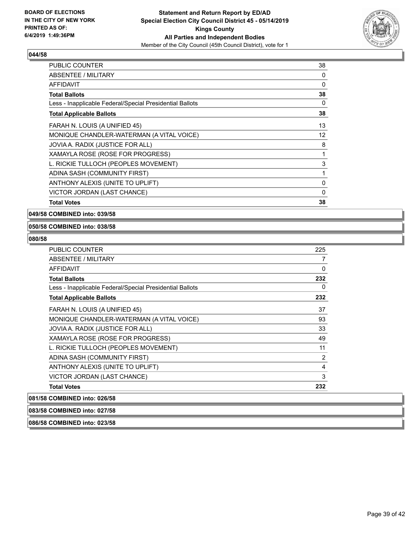

| PUBLIC COUNTER                                           | 38 |
|----------------------------------------------------------|----|
| ABSENTEE / MILITARY                                      | 0  |
| <b>AFFIDAVIT</b>                                         | 0  |
| <b>Total Ballots</b>                                     | 38 |
| Less - Inapplicable Federal/Special Presidential Ballots | 0  |
| <b>Total Applicable Ballots</b>                          | 38 |
| FARAH N. LOUIS (A UNIFIED 45)                            | 13 |
| MONIQUE CHANDLER-WATERMAN (A VITAL VOICE)                | 12 |
| JOVIA A. RADIX (JUSTICE FOR ALL)                         | 8  |
| XAMAYLA ROSE (ROSE FOR PROGRESS)                         | 1  |
| L. RICKIE TULLOCH (PEOPLES MOVEMENT)                     | 3  |
| ADINA SASH (COMMUNITY FIRST)                             | 1  |
| ANTHONY ALEXIS (UNITE TO UPLIFT)                         | 0  |
| VICTOR JORDAN (LAST CHANCE)                              | 0  |
| <b>Total Votes</b>                                       | 38 |

**049/58 COMBINED into: 039/58**

#### **050/58 COMBINED into: 038/58**

#### **080/58**

| <b>PUBLIC COUNTER</b>                                    | 225            |
|----------------------------------------------------------|----------------|
| ABSENTEE / MILITARY                                      | 7              |
| <b>AFFIDAVIT</b>                                         | 0              |
| <b>Total Ballots</b>                                     | 232            |
| Less - Inapplicable Federal/Special Presidential Ballots | 0              |
| <b>Total Applicable Ballots</b>                          | 232            |
| FARAH N. LOUIS (A UNIFIED 45)                            | 37             |
| MONIQUE CHANDLER-WATERMAN (A VITAL VOICE)                | 93             |
| JOVIA A. RADIX (JUSTICE FOR ALL)                         | 33             |
| XAMAYLA ROSE (ROSE FOR PROGRESS)                         | 49             |
| L. RICKIE TULLOCH (PEOPLES MOVEMENT)                     | 11             |
| ADINA SASH (COMMUNITY FIRST)                             | $\overline{2}$ |
| ANTHONY ALEXIS (UNITE TO UPLIFT)                         | $\overline{4}$ |
| VICTOR JORDAN (LAST CHANCE)                              | 3              |
| <b>Total Votes</b>                                       | 232            |

## **081/58 COMBINED into: 026/58**

**083/58 COMBINED into: 027/58**

**086/58 COMBINED into: 023/58**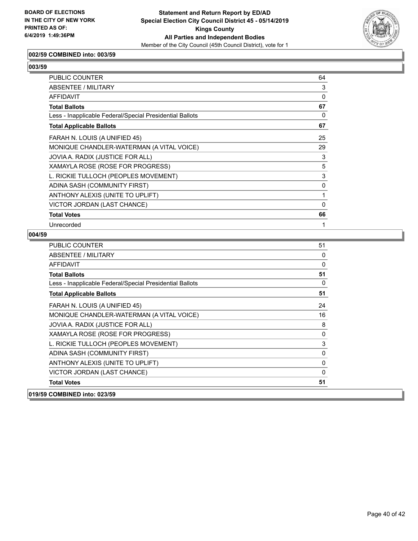

# **002/59 COMBINED into: 003/59**

#### **003/59**

| PUBLIC COUNTER                                           | 64 |
|----------------------------------------------------------|----|
| ABSENTEE / MILITARY                                      | 3  |
| AFFIDAVIT                                                | 0  |
| <b>Total Ballots</b>                                     | 67 |
| Less - Inapplicable Federal/Special Presidential Ballots | 0  |
| <b>Total Applicable Ballots</b>                          | 67 |
| FARAH N. LOUIS (A UNIFIED 45)                            | 25 |
| MONIQUE CHANDLER-WATERMAN (A VITAL VOICE)                | 29 |
| JOVIA A. RADIX (JUSTICE FOR ALL)                         | 3  |
| XAMAYLA ROSE (ROSE FOR PROGRESS)                         | 5  |
| L. RICKIE TULLOCH (PEOPLES MOVEMENT)                     | 3  |
| ADINA SASH (COMMUNITY FIRST)                             | 0  |
| ANTHONY ALEXIS (UNITE TO UPLIFT)                         | 1  |
| VICTOR JORDAN (LAST CHANCE)                              | 0  |
| <b>Total Votes</b>                                       | 66 |
| Unrecorded                                               | 1  |

| <b>PUBLIC COUNTER</b>                                    | 51           |
|----------------------------------------------------------|--------------|
| <b>ABSENTEE / MILITARY</b>                               | 0            |
| <b>AFFIDAVIT</b>                                         | $\mathbf{0}$ |
| <b>Total Ballots</b>                                     | 51           |
| Less - Inapplicable Federal/Special Presidential Ballots | $\mathbf{0}$ |
| <b>Total Applicable Ballots</b>                          | 51           |
| FARAH N. LOUIS (A UNIFIED 45)                            | 24           |
| MONIQUE CHANDLER-WATERMAN (A VITAL VOICE)                | 16           |
| JOVIA A. RADIX (JUSTICE FOR ALL)                         | 8            |
| XAMAYLA ROSE (ROSE FOR PROGRESS)                         | 0            |
| L. RICKIE TULLOCH (PEOPLES MOVEMENT)                     | 3            |
| ADINA SASH (COMMUNITY FIRST)                             | 0            |
| ANTHONY ALEXIS (UNITE TO UPLIFT)                         | 0            |
| VICTOR JORDAN (LAST CHANCE)                              | 0            |
| <b>Total Votes</b>                                       | 51           |
| 019/59 COMBINED into: 023/59                             |              |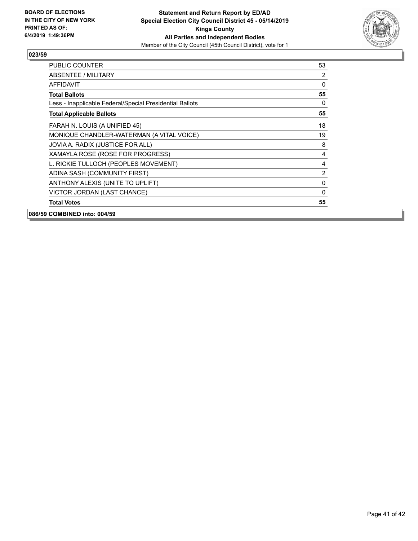

| PUBLIC COUNTER                                           | 53             |
|----------------------------------------------------------|----------------|
| ABSENTEE / MILITARY                                      | 2              |
| AFFIDAVIT                                                | 0              |
| <b>Total Ballots</b>                                     | 55             |
| Less - Inapplicable Federal/Special Presidential Ballots | $\Omega$       |
| <b>Total Applicable Ballots</b>                          | 55             |
| FARAH N. LOUIS (A UNIFIED 45)                            | 18             |
| MONIQUE CHANDLER-WATERMAN (A VITAL VOICE)                | 19             |
| JOVIA A. RADIX (JUSTICE FOR ALL)                         | 8              |
| XAMAYLA ROSE (ROSE FOR PROGRESS)                         | 4              |
| L. RICKIE TULLOCH (PEOPLES MOVEMENT)                     | 4              |
| ADINA SASH (COMMUNITY FIRST)                             | $\overline{2}$ |
| ANTHONY ALEXIS (UNITE TO UPLIFT)                         | $\Omega$       |
| VICTOR JORDAN (LAST CHANCE)                              | $\Omega$       |
| <b>Total Votes</b>                                       | 55             |
| 086/59 COMBINED into: 004/59                             |                |